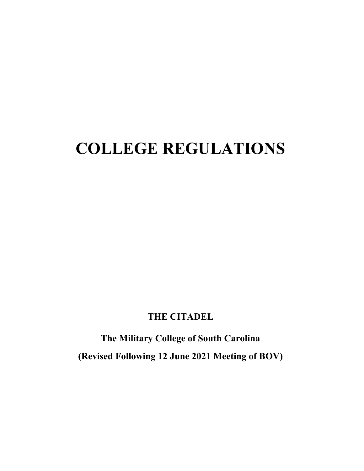# **COLLEGE REGULATIONS**

# **THE CITADEL**

**The Military College of South Carolina (Revised Following 12 June 2021 Meeting of BOV)**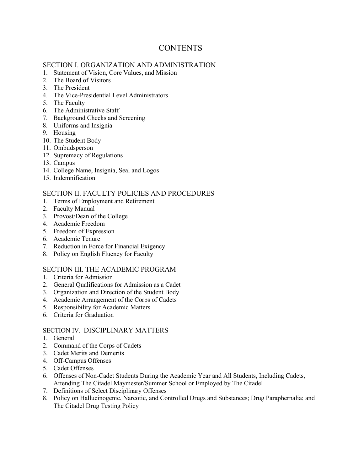# **CONTENTS**

# SECTION I. ORGANIZATION AND ADMINISTRATION

- 1. Statement of Vision, Core Values, and Mission
- 2. The Board of Visitors
- 3. The President
- 4. The Vice-Presidential Level Administrators
- 5. The Faculty
- 6. The Administrative Staff
- 7. Background Checks and Screening
- 8. Uniforms and Insignia
- 9. Housing
- 10. The Student Body
- 11. Ombudsperson
- 12. Supremacy of Regulations
- 13. Campus
- 14. College Name, Insignia, Seal and Logos
- 15. Indemnification

# SECTION II. FACULTY POLICIES AND PROCEDURES

- 1. Terms of Employment and Retirement
- 2. Faculty Manual
- 3. Provost/Dean of the College
- 4. Academic Freedom
- 5. Freedom of Expression
- 6. Academic Tenure
- 7. Reduction in Force for Financial Exigency
- 8. Policy on English Fluency for Faculty

# SECTION III. THE ACADEMIC PROGRAM

- 1. Criteria for Admission
- 2. General Qualifications for Admission as a Cadet
- 3. Organization and Direction of the Student Body
- 4. Academic Arrangement of the Corps of Cadets
- 5. Responsibility for Academic Matters
- 6. Criteria for Graduation

# SECTION IV. DISCIPLINARY MATTERS

- 1. General
- 2. Command of the Corps of Cadets
- 3. Cadet Merits and Demerits
- 4. Off-Campus Offenses
- 5. Cadet Offenses
- 6. Offenses of Non-Cadet Students During the Academic Year and All Students, Including Cadets, Attending The Citadel Maymester/Summer School or Employed by The Citadel
- 7. Definitions of Select Disciplinary Offenses
- 8. Policy on Hallucinogenic, Narcotic, and Controlled Drugs and Substances; Drug Paraphernalia; and The Citadel Drug Testing Policy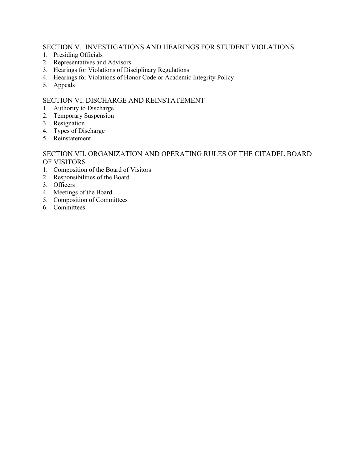# SECTION V. INVESTIGATIONS AND HEARINGS FOR STUDENT VIOLATIONS

- 1. Presiding Officials
- 2. Representatives and Advisors
- 3. Hearings for Violations of Disciplinary Regulations
- 4. Hearings for Violations of Honor Code or Academic Integrity Policy
- 5. Appeals

# SECTION VI. DISCHARGE AND REINSTATEMENT

- 1. Authority to Discharge
- 2. Temporary Suspension
- 3. Resignation
- 4. Types of Discharge
- 5. Reinstatement

# SECTION VII. ORGANIZATION AND OPERATING RULES OF THE CITADEL BOARD OF VISITORS

- 1. Composition of the Board of Visitors
- 2. Responsibilities of the Board
- 3. Officers
- 4. Meetings of the Board
- 5. Composition of Committees
- 6. Committees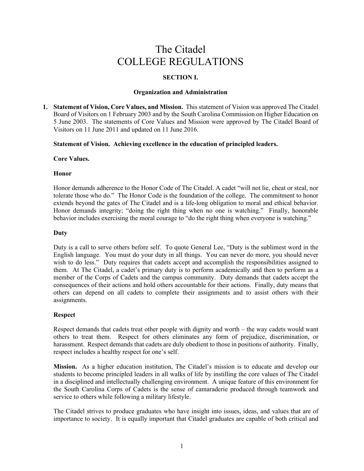# The Citadel COLLEGE REGULATIONS

# **SECTION I.**

#### **Organization and Administration**

**1. Statement of Vision, Core Values, and Mission.** This statement of Vision was approved The Citadel Board of Visitors on 1 February 2003 and by the South Carolina Commission on Higher Education on 5 June 2003. The statements of Core Values and Mission were approved by The Citadel Board of Visitors on 11 June 2011 and updated on 11 June 2016.

# **Statement of Vision. Achieving excellence in the education of principled leaders.**

#### **Core Values.**

# **Honor**

Honor demands adherence to the Honor Code of The Citadel. A cadet "will not lie, cheat or steal, nor tolerate those who do." The Honor Code is the foundation of the college. The commitment to honor extends beyond the gates of The Citadel and is a life-long obligation to moral and ethical behavior. Honor demands integrity; "doing the right thing when no one is watching." Finally, honorable behavior includes exercising the moral courage to "do the right thing when everyone is watching."

#### **Duty**

Duty is a call to serve others before self. To quote General Lee, "Duty is the sublimest word in the English language. You must do your duty in all things. You can never do more, you should never wish to do less." Duty requires that cadets accept and accomplish the responsibilities assigned to them. At The Citadel, a cadet's primary duty is to perform academically and then to perform as a member of the Corps of Cadets and the campus community. Duty demands that cadets accept the consequences of their actions and hold others accountable for their actions. Finally, duty means that others can depend on all cadets to complete their assignments and to assist others with their assignments.

# **Respect**

Respect demands that cadets treat other people with dignity and worth – the way cadets would want others to treat them. Respect for others eliminates any form of prejudice, discrimination, or harassment. Respect demands that cadets are duly obedient to those in positions of authority. Finally, respect includes a healthy respect for one's self.

**Mission.** As a higher education institution, The Citadel's mission is to educate and develop our students to become principled leaders in all walks of life by instilling the core values of The Citadel in a disciplined and intellectually challenging environment. A unique feature of this environment for the South Carolina Corps of Cadets is the sense of camaraderie produced through teamwork and service to others while following a military lifestyle.

The Citadel strives to produce graduates who have insight into issues, ideas, and values that are of importance to society. It is equally important that Citadel graduates are capable of both critical and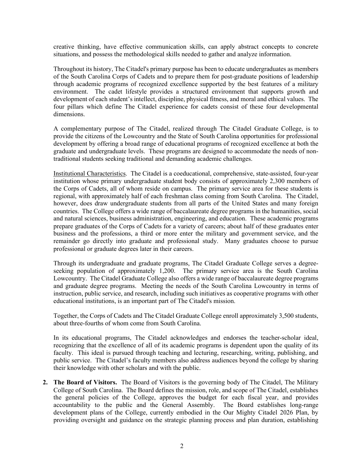creative thinking, have effective communication skills, can apply abstract concepts to concrete situations, and possess the methodological skills needed to gather and analyze information.

Throughout its history, The Citadel's primary purpose has been to educate undergraduates as members of the South Carolina Corps of Cadets and to prepare them for post-graduate positions of leadership through academic programs of recognized excellence supported by the best features of a military environment. The cadet lifestyle provides a structured environment that supports growth and development of each student's intellect, discipline, physical fitness, and moral and ethical values. The four pillars which define The Citadel experience for cadets consist of these four developmental dimensions.

A complementary purpose of The Citadel, realized through The Citadel Graduate College, is to provide the citizens of the Lowcountry and the State of South Carolina opportunities for professional development by offering a broad range of educational programs of recognized excellence at both the graduate and undergraduate levels. These programs are designed to accommodate the needs of nontraditional students seeking traditional and demanding academic challenges.

Institutional Characteristics. The Citadel is a coeducational, comprehensive, state-assisted, four-year institution whose primary undergraduate student body consists of approximately 2,300 members of the Corps of Cadets, all of whom reside on campus. The primary service area for these students is regional, with approximately half of each freshman class coming from South Carolina. The Citadel, however, does draw undergraduate students from all parts of the United States and many foreign countries. The College offers a wide range of baccalaureate degree programs in the humanities, social and natural sciences, business administration, engineering, and education. These academic programs prepare graduates of the Corps of Cadets for a variety of careers; about half of these graduates enter business and the professions, a third or more enter the military and government service, and the remainder go directly into graduate and professional study. Many graduates choose to pursue professional or graduate degrees later in their careers.

Through its undergraduate and graduate programs, The Citadel Graduate College serves a degreeseeking population of approximately 1,200. The primary service area is the South Carolina Lowcountry. The Citadel Graduate College also offers a wide range of baccalaureate degree programs and graduate degree programs. Meeting the needs of the South Carolina Lowcountry in terms of instruction, public service, and research, including such initiatives as cooperative programs with other educational institutions, is an important part of The Citadel's mission.

Together, the Corps of Cadets and The Citadel Graduate College enroll approximately 3,500 students, about three-fourths of whom come from South Carolina.

In its educational programs, The Citadel acknowledges and endorses the teacher-scholar ideal, recognizing that the excellence of all of its academic programs is dependent upon the quality of its faculty. This ideal is pursued through teaching and lecturing, researching, writing, publishing, and public service. The Citadel's faculty members also address audiences beyond the college by sharing their knowledge with other scholars and with the public.

**2. The Board of Visitors.** The Board of Visitors is the governing body of The Citadel, The Military College of South Carolina. The Board defines the mission, role, and scope of The Citadel, establishes the general policies of the College, approves the budget for each fiscal year, and provides accountability to the public and the General Assembly. The Board establishes long-range development plans of the College, currently embodied in the Our Mighty Citadel 2026 Plan, by providing oversight and guidance on the strategic planning process and plan duration, establishing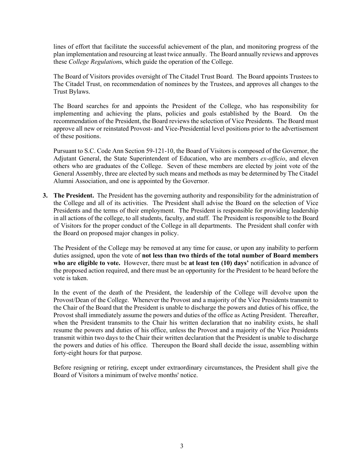lines of effort that facilitate the successful achievement of the plan, and monitoring progress of the plan implementation and resourcing at least twice annually. The Board annually reviews and approves these *College Regulation*s, which guide the operation of the College.

The Board of Visitors provides oversight of The Citadel Trust Board. The Board appoints Trustees to The Citadel Trust, on recommendation of nominees by the Trustees, and approves all changes to the Trust Bylaws.

The Board searches for and appoints the President of the College, who has responsibility for implementing and achieving the plans, policies and goals established by the Board. On the recommendation of the President, the Board reviews the selection of Vice Presidents. The Board must approve all new or reinstated Provost- and Vice-Presidential level positions prior to the advertisement of these positions.

Pursuant to S.C. Code Ann Section 59-121-10, the Board of Visitors is composed of the Governor, the Adjutant General, the State Superintendent of Education, who are members *ex-officio*, and eleven others who are graduates of the College. Seven of these members are elected by joint vote of the General Assembly, three are elected by such means and methods as may be determined by The Citadel Alumni Association, and one is appointed by the Governor.

**3. The President.** The President has the governing authority and responsibility for the administration of the College and all of its activities. The President shall advise the Board on the selection of Vice Presidents and the terms of their employment. The President is responsible for providing leadership in all actions of the college, to all students, faculty, and staff. The President is responsible to the Board of Visitors for the proper conduct of the College in all departments. The President shall confer with the Board on proposed major changes in policy.

The President of the College may be removed at any time for cause, or upon any inability to perform duties assigned, upon the vote of **not less than two thirds of the total number of Board members who are eligible to vote.** However, there must be **at least ten (10) days'** notification in advance of the proposed action required, and there must be an opportunity for the President to be heard before the vote is taken.

In the event of the death of the President, the leadership of the College will devolve upon the Provost/Dean of the College. Whenever the Provost and a majority of the Vice Presidents transmit to the Chair of the Board that the President is unable to discharge the powers and duties of his office, the Provost shall immediately assume the powers and duties of the office as Acting President. Thereafter, when the President transmits to the Chair his written declaration that no inability exists, he shall resume the powers and duties of his office, unless the Provost and a majority of the Vice Presidents transmit within two days to the Chair their written declaration that the President is unable to discharge the powers and duties of his office. Thereupon the Board shall decide the issue, assembling within forty-eight hours for that purpose.

Before resigning or retiring, except under extraordinary circumstances, the President shall give the Board of Visitors a minimum of twelve months' notice.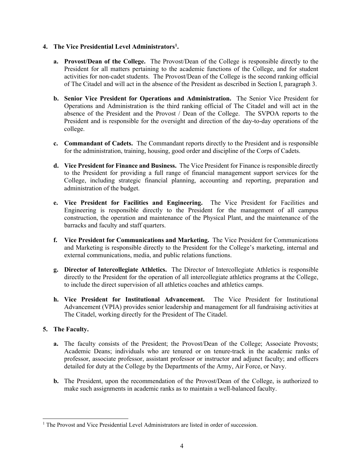# **4. The Vice Presidential Level Administrators[1](#page-6-0) .**

- **a. Provost/Dean of the College.** The Provost/Dean of the College is responsible directly to the President for all matters pertaining to the academic functions of the College, and for student activities for non-cadet students. The Provost/Dean of the College is the second ranking official of The Citadel and will act in the absence of the President as described in Section I, paragraph 3.
- **b. Senior Vice President for Operations and Administration.** The Senior Vice President for Operations and Administration is the third ranking official of The Citadel and will act in the absence of the President and the Provost / Dean of the College. The SVPOA reports to the President and is responsible for the oversight and direction of the day-to-day operations of the college.
- **c. Commandant of Cadets.** The Commandant reports directly to the President and is responsible for the administration, training, housing, good order and discipline of the Corps of Cadets.
- **d. Vice President for Finance and Business.** The Vice President for Finance is responsible directly to the President for providing a full range of financial management support services for the College, including strategic financial planning, accounting and reporting, preparation and administration of the budget.
- **e. Vice President for Facilities and Engineering.** The Vice President for Facilities and Engineering is responsible directly to the President for the management of all campus construction, the operation and maintenance of the Physical Plant, and the maintenance of the barracks and faculty and staff quarters.
- **f. Vice President for Communications and Marketing.** The Vice President for Communications and Marketing is responsible directly to the President for the College's marketing, internal and external communications, media, and public relations functions.
- **g. Director of Intercollegiate Athletics.** The Director of Intercollegiate Athletics is responsible directly to the President for the operation of all intercollegiate athletics programs at the College, to include the direct supervision of all athletics coaches and athletics camps.
- **h. Vice President for Institutional Advancement.** The Vice President for Institutional Advancement (VPIA) provides senior leadership and management for all fundraising activities at The Citadel, working directly for the President of The Citadel.

# **5. The Faculty.**

- **a.** The faculty consists of the President; the Provost/Dean of the College; Associate Provosts; Academic Deans; individuals who are tenured or on tenure-track in the academic ranks of professor, associate professor, assistant professor or instructor and adjunct faculty; and officers detailed for duty at the College by the Departments of the Army, Air Force, or Navy.
- **b.** The President, upon the recommendation of the Provost/Dean of the College, is authorized to make such assignments in academic ranks as to maintain a well-balanced faculty.

<span id="page-6-0"></span><sup>&</sup>lt;sup>1</sup> The Provost and Vice Presidential Level Administrators are listed in order of succession.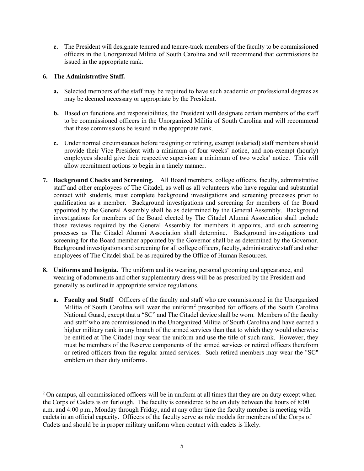**c.** The President will designate tenured and tenure-track members of the faculty to be commissioned officers in the Unorganized Militia of South Carolina and will recommend that commissions be issued in the appropriate rank.

# **6. The Administrative Staff.**

- **a.** Selected members of the staff may be required to have such academic or professional degrees as may be deemed necessary or appropriate by the President.
- **b.** Based on functions and responsibilities, the President will designate certain members of the staff to be commissioned officers in the Unorganized Militia of South Carolina and will recommend that these commissions be issued in the appropriate rank.
- **c.** Under normal circumstances before resigning or retiring, exempt (salaried) staff members should provide their Vice President with a minimum of four weeks' notice, and non-exempt (hourly) employees should give their respective supervisor a minimum of two weeks' notice. This will allow recruitment actions to begin in a timely manner.
- **7. Background Checks and Screening.** All Board members, college officers, faculty, administrative staff and other employees of The Citadel, as well as all volunteers who have regular and substantial contact with students, must complete background investigations and screening processes prior to qualification as a member. Background investigations and screening for members of the Board appointed by the General Assembly shall be as determined by the General Assembly. Background investigations for members of the Board elected by The Citadel Alumni Association shall include those reviews required by the General Assembly for members it appoints, and such screening processes as The Citadel Alumni Association shall determine. Background investigations and screening for the Board member appointed by the Governor shall be as determined by the Governor. Background investigations and screening for all college officers, faculty, administrative staff and other employees of The Citadel shall be as required by the Office of Human Resources.
- **8. Uniforms and Insignia.** The uniform and its wearing, personal grooming and appearance, and wearing of adornments and other supplementary dress will be as prescribed by the President and generally as outlined in appropriate service regulations.
	- **a. Faculty and Staff** Officers of the faculty and staff who are commissioned in the Unorganized Militia of South Carolina will wear the uniform<sup>[2](#page-7-0)</sup> prescribed for officers of the South Carolina National Guard, except that a "SC" and The Citadel device shall be worn. Members of the faculty and staff who are commissioned in the Unorganized Militia of South Carolina and have earned a higher military rank in any branch of the armed services than that to which they would otherwise be entitled at The Citadel may wear the uniform and use the title of such rank. However, they must be members of the Reserve components of the armed services or retired officers therefrom or retired officers from the regular armed services. Such retired members may wear the "SC" emblem on their duty uniforms.

<span id="page-7-0"></span><sup>&</sup>lt;sup>2</sup> On campus, all commissioned officers will be in uniform at all times that they are on duty except when the Corps of Cadets is on furlough. The faculty is considered to be on duty between the hours of 8:00 a.m. and 4:00 p.m., Monday through Friday, and at any other time the faculty member is meeting with cadets in an official capacity. Officers of the faculty serve as role models for members of the Corps of Cadets and should be in proper military uniform when contact with cadets is likely.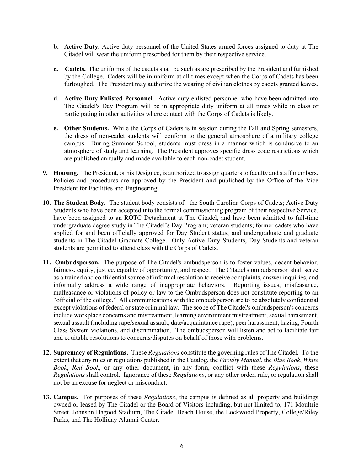- **b. Active Duty.** Active duty personnel of the United States armed forces assigned to duty at The Citadel will wear the uniform prescribed for them by their respective service.
- **c. Cadets.** The uniforms of the cadets shall be such as are prescribed by the President and furnished by the College. Cadets will be in uniform at all times except when the Corps of Cadets has been furloughed. The President may authorize the wearing of civilian clothes by cadets granted leaves.
- **d. Active Duty Enlisted Personnel.** Active duty enlisted personnel who have been admitted into The Citadel's Day Program will be in appropriate duty uniform at all times while in class or participating in other activities where contact with the Corps of Cadets is likely.
- **e. Other Students.** While the Corps of Cadets is in session during the Fall and Spring semesters, the dress of non-cadet students will conform to the general atmosphere of a military college campus. During Summer School, students must dress in a manner which is conducive to an atmosphere of study and learning. The President approves specific dress code restrictions which are published annually and made available to each non-cadet student.
- **9. Housing.** The President, or his Designee, is authorized to assign quarters to faculty and staff members. Policies and procedures are approved by the President and published by the Office of the Vice President for Facilities and Engineering.
- **10. The Student Body.** The student body consists of: the South Carolina Corps of Cadets; Active Duty Students who have been accepted into the formal commissioning program of their respective Service, have been assigned to an ROTC Detachment at The Citadel, and have been admitted to full-time undergraduate degree study in The Citadel's Day Program; veteran students; former cadets who have applied for and been officially approved for Day Student status; and undergraduate and graduate students in The Citadel Graduate College. Only Active Duty Students, Day Students and veteran students are permitted to attend class with the Corps of Cadets.
- **11. Ombudsperson.** The purpose of The Citadel's ombudsperson is to foster values, decent behavior, fairness, equity, justice, equality of opportunity, and respect. The Citadel's ombudsperson shall serve as a trained and confidential source of informal resolution to receive complaints, answer inquiries, and informally address a wide range of inappropriate behaviors.Reporting issues, misfeasance, malfeasance or violations of policy or law to the Ombudsperson does not constitute reporting to an "official of the college." All communications with the ombudsperson are to be absolutely confidential except violations of federal or state criminal law. The scope of The Citadel's ombudsperson's concerns include workplace concerns and mistreatment, learning environment mistreatment, sexual harassment, sexual assault (including rape/sexual assault, date/acquaintance rape), peer harassment, hazing, Fourth Class System violations, and discrimination. The ombudsperson will listen and act to facilitate fair and equitable resolutions to concerns/disputes on behalf of those with problems.
- **12. Supremacy of Regulations.** These *Regulations* constitute the governing rules of The Citadel. To the extent that any rules or regulations published in the Catalog, the *Faculty Manual*, the *Blue Book*, *White Book*, *Red Book*, or any other document, in any form, conflict with these *Regulations*, these *Regulations* shall control. Ignorance of these *Regulations*, or any other order, rule, or regulation shall not be an excuse for neglect or misconduct.
- **13. Campus.** For purposes of these *Regulations*, the campus is defined as all property and buildings owned or leased by The Citadel or the Board of Visitors including, but not limited to, 171 Moultrie Street, Johnson Hagood Stadium, The Citadel Beach House, the Lockwood Property, College/Riley Parks, and The Holliday Alumni Center.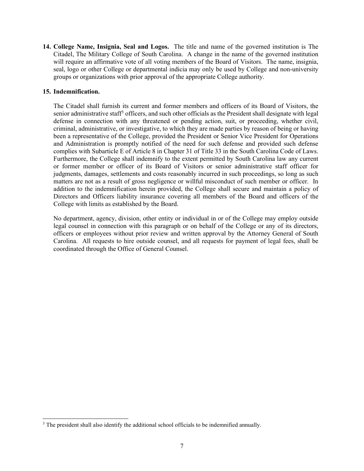**14. College Name, Insignia, Seal and Logos.** The title and name of the governed institution is The Citadel, The Military College of South Carolina. A change in the name of the governed institution will require an affirmative vote of all voting members of the Board of Visitors. The name, insignia, seal, logo or other College or departmental indicia may only be used by College and non-university groups or organizations with prior approval of the appropriate College authority.

# **15. Indemnification.**

The Citadel shall furnish its current and former members and officers of its Board of Visitors, the senior administrative staff<sup>[3](#page-9-0)</sup> officers, and such other officials as the President shall designate with legal defense in connection with any threatened or pending action, suit, or proceeding, whether civil, criminal, administrative, or investigative, to which they are made parties by reason of being or having been a representative of the College, provided the President or Senior Vice President for Operations and Administration is promptly notified of the need for such defense and provided such defense complies with Subarticle E of Article 8 in Chapter 31 of Title 33 in the South Carolina Code of Laws. Furthermore, the College shall indemnify to the extent permitted by South Carolina law any current or former member or officer of its Board of Visitors or senior administrative staff officer for judgments, damages, settlements and costs reasonably incurred in such proceedings, so long as such matters are not as a result of gross negligence or willful misconduct of such member or officer. In addition to the indemnification herein provided, the College shall secure and maintain a policy of Directors and Officers liability insurance covering all members of the Board and officers of the College with limits as established by the Board.

No department, agency, division, other entity or individual in or of the College may employ outside legal counsel in connection with this paragraph or on behalf of the College or any of its directors, officers or employees without prior review and written approval by the Attorney General of South Carolina. All requests to hire outside counsel, and all requests for payment of legal fees, shall be coordinated through the Office of General Counsel.

<span id="page-9-0"></span><sup>&</sup>lt;sup>3</sup> The president shall also identify the additional school officials to be indemnified annually.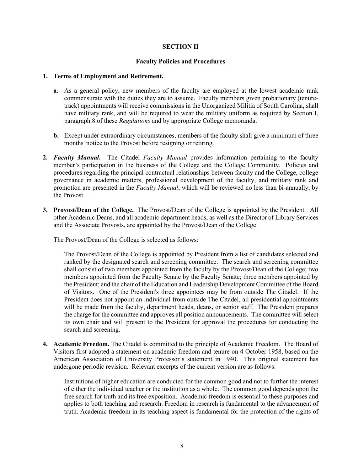# **SECTION II**

#### **Faculty Policies and Procedures**

#### **1. Terms of Employment and Retirement.**

- **a.** As a general policy, new members of the faculty are employed at the lowest academic rank commensurate with the duties they are to assume. Faculty members given probationary (tenuretrack) appointments will receive commissions in the Unorganized Militia of South Carolina, shall have military rank, and will be required to wear the military uniform as required by Section I, paragraph 8 of these *Regulations* and by appropriate College memoranda.
- **b.** Except under extraordinary circumstances, members of the faculty shall give a minimum of three months' notice to the Provost before resigning or retiring.
- **2.** *Faculty Manual***.** The Citadel *Faculty Manual* provides information pertaining to the faculty member's participation in the business of the College and the College Community. Policies and procedures regarding the principal contractual relationships between faculty and the College, college governance in academic matters, professional development of the faculty, and military rank and promotion are presented in the *Faculty Manual*, which will be reviewed no less than bi-annually, by the Provost.
- **3. Provost/Dean of the College.** The Provost**/**Dean of the College is appointed by the President. All other Academic Deans, and all academic department heads, as well as the Director of Library Services and the Associate Provosts, are appointed by the Provost/Dean of the College.

The Provost/Dean of the College is selected as follows:

The Provost/Dean of the College is appointed by President from a list of candidates selected and ranked by the designated search and screening committee. The search and screening committee shall consist of two members appointed from the faculty by the Provost/Dean of the College; two members appointed from the Faculty Senate by the Faculty Senate; three members appointed by the President; and the chair of the Education and Leadership Development Committee of the Board of Visitors. One of the President's three appointees may be from outside The Citadel. If the President does not appoint an individual from outside The Citadel, all presidential appointments will be made from the faculty, department heads, deans, or senior staff. The President prepares the charge for the committee and approves all position announcements. The committee will select its own chair and will present to the President for approval the procedures for conducting the search and screening.

**4. Academic Freedom.** The Citadel is committed to the principle of Academic Freedom. The Board of Visitors first adopted a statement on academic freedom and tenure on 4 October 1958, based on the American Association of University Professor's statement in 1940. This original statement has undergone periodic revision. Relevant excerpts of the current version are as follows:

Institutions of higher education are conducted for the common good and not to further the interest of either the individual teacher or the institution as a whole. The common good depends upon the free search for truth and its free exposition. Academic freedom is essential to these purposes and applies to both teaching and research. Freedom in research is fundamental to the advancement of truth. Academic freedom in its teaching aspect is fundamental for the protection of the rights of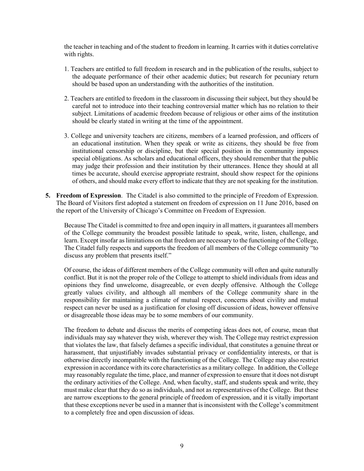the teacher in teaching and of the student to freedom in learning. It carries with it duties correlative with rights.

- 1. Teachers are entitled to full freedom in research and in the publication of the results, subject to the adequate performance of their other academic duties; but research for pecuniary return should be based upon an understanding with the authorities of the institution.
- 2. Teachers are entitled to freedom in the classroom in discussing their subject, but they should be careful not to introduce into their teaching controversial matter which has no relation to their subject. Limitations of academic freedom because of religious or other aims of the institution should be clearly stated in writing at the time of the appointment.
- 3. College and university teachers are citizens, members of a learned profession, and officers of an educational institution. When they speak or write as citizens, they should be free from institutional censorship or discipline, but their special position in the community imposes special obligations. As scholars and educational officers, they should remember that the public may judge their profession and their institution by their utterances. Hence they should at all times be accurate, should exercise appropriate restraint, should show respect for the opinions of others, and should make every effort to indicate that they are not speaking for the institution.
- **5. Freedom of Expression**. The Citadel is also committed to the principle of Freedom of Expression. The Board of Visitors first adopted a statement on freedom of expression on 11 June 2016, based on the report of the University of Chicago's Committee on Freedom of Expression.

Because The Citadel is committed to free and open inquiry in all matters, it guarantees all members of the College community the broadest possible latitude to speak, write, listen, challenge, and learn. Except insofar as limitations on that freedom are necessary to the functioning of the College, The Citadel fully respects and supports the freedom of all members of the College community "to discuss any problem that presents itself."

Of course, the ideas of different members of the College community will often and quite naturally conflict. But it is not the proper role of the College to attempt to shield individuals from ideas and opinions they find unwelcome, disagreeable, or even deeply offensive. Although the College greatly values civility, and although all members of the College community share in the responsibility for maintaining a climate of mutual respect, concerns about civility and mutual respect can never be used as a justification for closing off discussion of ideas, however offensive or disagreeable those ideas may be to some members of our community.

The freedom to debate and discuss the merits of competing ideas does not, of course, mean that individuals may say whatever they wish, wherever they wish. The College may restrict expression that violates the law, that falsely defames a specific individual, that constitutes a genuine threat or harassment, that unjustifiably invades substantial privacy or confidentiality interests, or that is otherwise directly incompatible with the functioning of the College. The College may also restrict expression in accordance with its core characteristics as a military college. In addition, the College may reasonably regulate the time, place, and manner of expression to ensure that it does not disrupt the ordinary activities of the College. And, when faculty, staff, and students speak and write, they must make clear that they do so as individuals, and not as representatives of the College. But these are narrow exceptions to the general principle of freedom of expression, and it is vitally important that these exceptions never be used in a manner that is inconsistent with the College's commitment to a completely free and open discussion of ideas.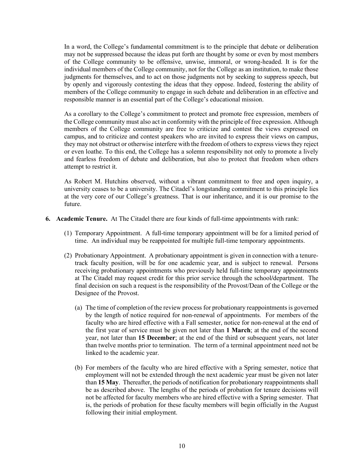In a word, the College's fundamental commitment is to the principle that debate or deliberation may not be suppressed because the ideas put forth are thought by some or even by most members of the College community to be offensive, unwise, immoral, or wrong-headed. It is for the individual members of the College community, not for the College as an institution, to make those judgments for themselves, and to act on those judgments not by seeking to suppress speech, but by openly and vigorously contesting the ideas that they oppose. Indeed, fostering the ability of members of the College community to engage in such debate and deliberation in an effective and responsible manner is an essential part of the College's educational mission.

As a corollary to the College's commitment to protect and promote free expression, members of the College community must also act in conformity with the principle of free expression. Although members of the College community are free to criticize and contest the views expressed on campus, and to criticize and contest speakers who are invited to express their views on campus, they may not obstruct or otherwise interfere with the freedom of others to express views they reject or even loathe. To this end, the College has a solemn responsibility not only to promote a lively and fearless freedom of debate and deliberation, but also to protect that freedom when others attempt to restrict it.

As Robert M. Hutchins observed, without a vibrant commitment to free and open inquiry, a university ceases to be a university. The Citadel's longstanding commitment to this principle lies at the very core of our College's greatness. That is our inheritance, and it is our promise to the future.

- **6. Academic Tenure.** At The Citadel there are four kinds of full-time appointments with rank:
	- (1) Temporary Appointment. A full-time temporary appointment will be for a limited period of time. An individual may be reappointed for multiple full-time temporary appointments.
	- (2) Probationary Appointment. A probationary appointment is given in connection with a tenuretrack faculty position, will be for one academic year, and is subject to renewal. Persons receiving probationary appointments who previously held full-time temporary appointments at The Citadel may request credit for this prior service through the school**/**department. The final decision on such a request is the responsibility of the Provost/Dean of the College or the Designee of the Provost.
		- (a) The time of completion of the review process for probationary reappointments is governed by the length of notice required for non-renewal of appointments. For members of the faculty who are hired effective with a Fall semester, notice for non-renewal at the end of the first year of service must be given not later than **1 March**; at the end of the second year, not later than **15 December**; at the end of the third or subsequent years, not later than twelve months prior to termination. The term of a terminal appointment need not be linked to the academic year.
		- (b) For members of the faculty who are hired effective with a Spring semester, notice that employment will not be extended through the next academic year must be given not later than **15 May**. Thereafter, the periods of notification for probationary reappointments shall be as described above. The lengths of the periods of probation for tenure decisions will not be affected for faculty members who are hired effective with a Spring semester. That is, the periods of probation for these faculty members will begin officially in the August following their initial employment.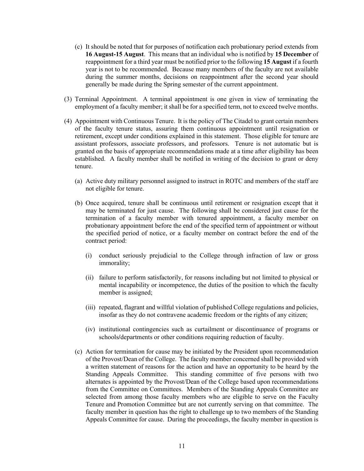- (c) It should be noted that for purposes of notification each probationary period extends from **16 August-15 August**. This means that an individual who is notified by **15 December** of reappointment for a third year must be notified prior to the following **15 August** if a fourth year is not to be recommended. Because many members of the faculty are not available during the summer months, decisions on reappointment after the second year should generally be made during the Spring semester of the current appointment.
- (3) Terminal Appointment. A terminal appointment is one given in view of terminating the employment of a faculty member; it shall be for a specified term, not to exceed twelve months.
- (4) Appointment with Continuous Tenure. It is the policy of The Citadel to grant certain members of the faculty tenure status, assuring them continuous appointment until resignation or retirement, except under conditions explained in this statement. Those eligible for tenure are assistant professors, associate professors, and professors. Tenure is not automatic but is granted on the basis of appropriate recommendations made at a time after eligibility has been established. A faculty member shall be notified in writing of the decision to grant or deny tenure.
	- (a) Active duty military personnel assigned to instruct in ROTC and members of the staff are not eligible for tenure.
	- (b) Once acquired, tenure shall be continuous until retirement or resignation except that it may be terminated for just cause. The following shall be considered just cause for the termination of a faculty member with tenured appointment, a faculty member on probationary appointment before the end of the specified term of appointment or without the specified period of notice, or a faculty member on contract before the end of the contract period:
		- (i) conduct seriously prejudicial to the College through infraction of law or gross immorality;
		- (ii) failure to perform satisfactorily, for reasons including but not limited to physical or mental incapability or incompetence, the duties of the position to which the faculty member is assigned;
		- (iii) repeated, flagrant and willful violation of published College regulations and policies, insofar as they do not contravene academic freedom or the rights of any citizen;
		- (iv) institutional contingencies such as curtailment or discontinuance of programs or schools**/**departments or other conditions requiring reduction of faculty.
	- (c) Action for termination for cause may be initiated by the President upon recommendation of the Provost/Dean of the College. The faculty member concerned shall be provided with a written statement of reasons for the action and have an opportunity to be heard by the Standing Appeals Committee. This standing committee of five persons with two alternates is appointed by the Provost/Dean of the College based upon recommendations from the Committee on Committees. Members of the Standing Appeals Committee are selected from among those faculty members who are eligible to serve on the Faculty Tenure and Promotion Committee but are not currently serving on that committee. The faculty member in question has the right to challenge up to two members of the Standing Appeals Committee for cause. During the proceedings, the faculty member in question is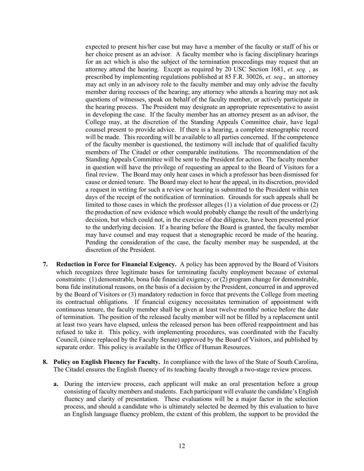expected to present his/her case but may have a member of the faculty or staff of his or her choice present as an advisor. A faculty member who is facing disciplinary hearings for an act which is also the subject of the termination proceedings may request that an attorney attend the hearing. Except as required by 20 USC Section 1681, *et. seq.* , as prescribed by implementing regulations published at 85 F.R. 30026, *et. seq.*, an attorney may act only in an advisory role to the faculty member and may only advise the faculty member during recesses of the hearing; any attorney who attends a hearing may not ask questions of witnesses, speak on behalf of the faculty member, or actively participate in the hearing process. The President may designate an appropriate representative to assist in developing the case. If the faculty member has an attorney present as an advisor, the College may, at the discretion of the Standing Appeals Committee chair, have legal counsel present to provide advice. If there is a hearing, a complete stenographic record will be made. This recording will be available to all parties concerned. If the competence of the faculty member is questioned, the testimony will include that of qualified faculty members of The Citadel or other comparable institutions. The recommendation of the Standing Appeals Committee will be sent to the President for action. The faculty member in question will have the privilege of requesting an appeal to the Board of Visitors for a final review. The Board may only hear cases in which a professor has been dismissed for cause or denied tenure. The Board may elect to hear the appeal, in its discretion, provided a request in writing for such a review or hearing is submitted to the President within ten days of the receipt of the notification of termination. Grounds for such appeals shall be limited to those cases in which the professor alleges (1) a violation of due process or (2) the production of new evidence which would probably change the result of the underlying decision, but which could not, in the exercise of due diligence, have been presented prior to the underlying decision. If a hearing before the Board is granted, the faculty member may have counsel and may request that a stenographic record be made of the hearing. Pending the consideration of the case, the faculty member may be suspended, at the discretion of the President.

- **7. Reduction in Force for Financial Exigency.** A policy has been approved by the Board of Visitors which recognizes three legitimate bases for terminating faculty employment because of external constraints: (1) demonstrable, bona fide financial exigency; or (2) program change for demonstrable, bona fide institutional reasons, on the basis of a decision by the President, concurred in and approved by the Board of Visitors or (3) mandatory reduction in force that prevents the College from meeting its contractual obligations. If financial exigency necessitates termination of appointment with continuous tenure, the faculty member shall be given at least twelve months' notice before the date of termination. The position of the released faculty member will not be filled by a replacement until at least two years have elapsed, unless the released person has been offered reappointment and has refused to take it. This policy, with implementing procedures, was coordinated with the Faculty Council, (since replaced by the Faculty Senate) approved by the Board of Visitors, and published by separate order. This policy is available in the Office of Human Resources.
- **8. Policy on English Fluency for Faculty.** In compliance with the laws of the State of South Carolina, The Citadel ensures the English fluency of its teaching faculty through a two-stage review process.
	- **a.** During the interview process, each applicant will make an oral presentation before a group consisting of faculty members and students. Each participant will evaluate the candidate's English fluency and clarity of presentation. These evaluations will be a major factor in the selection process, and should a candidate who is ultimately selected be deemed by this evaluation to have an English language fluency problem, the extent of this problem, the support to be provided the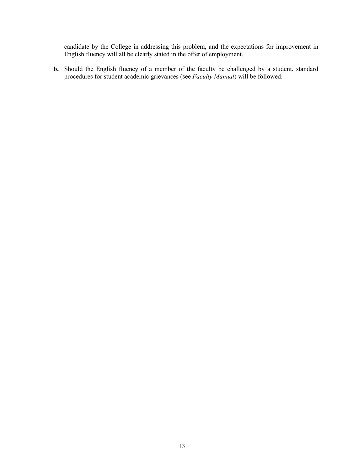candidate by the College in addressing this problem, and the expectations for improvement in English fluency will all be clearly stated in the offer of employment.

**b.** Should the English fluency of a member of the faculty be challenged by a student, standard procedures for student academic grievances (see *Faculty Manual*) will be followed.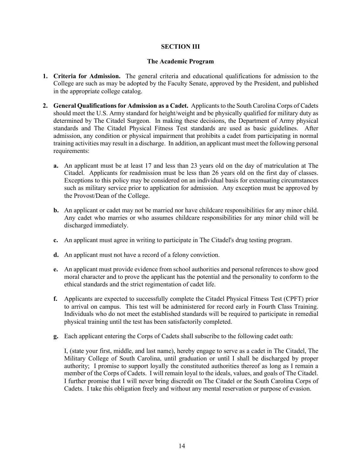#### **SECTION III**

#### **The Academic Program**

- **1. Criteria for Admission.** The general criteria and educational qualifications for admission to the College are such as may be adopted by the Faculty Senate, approved by the President, and published in the appropriate college catalog.
- **2. General Qualifications for Admission as a Cadet.** Applicants to the South Carolina Corps of Cadets should meet the U.S. Army standard for height/weight and be physically qualified for military duty as determined by The Citadel Surgeon. In making these decisions, the Department of Army physical standards and The Citadel Physical Fitness Test standards are used as basic guidelines. After admission, any condition or physical impairment that prohibits a cadet from participating in normal training activities may result in a discharge. In addition, an applicant must meet the following personal requirements:
	- **a.** An applicant must be at least 17 and less than 23 years old on the day of matriculation at The Citadel. Applicants for readmission must be less than 26 years old on the first day of classes. Exceptions to this policy may be considered on an individual basis for extenuating circumstances such as military service prior to application for admission. Any exception must be approved by the Provost/Dean of the College.
	- **b.** An applicant or cadet may not be married nor have childcare responsibilities for any minor child. Any cadet who marries or who assumes childcare responsibilities for any minor child will be discharged immediately.
	- **c.** An applicant must agree in writing to participate in The Citadel's drug testing program.
	- **d.** An applicant must not have a record of a felony conviction.
	- **e.** An applicant must provide evidence from school authorities and personal references to show good moral character and to prove the applicant has the potential and the personality to conform to the ethical standards and the strict regimentation of cadet life.
	- **f.** Applicants are expected to successfully complete the Citadel Physical Fitness Test (CPFT) prior to arrival on campus. This test will be administered for record early in Fourth Class Training. Individuals who do not meet the established standards will be required to participate in remedial physical training until the test has been satisfactorily completed.
	- **g.** Each applicant entering the Corps of Cadets shall subscribe to the following cadet oath:

I, (state your first, middle, and last name), hereby engage to serve as a cadet in The Citadel, The Military College of South Carolina, until graduation or until I shall be discharged by proper authority; I promise to support loyally the constituted authorities thereof as long as I remain a member of the Corps of Cadets. I will remain loyal to the ideals, values, and goals of The Citadel. I further promise that I will never bring discredit on The Citadel or the South Carolina Corps of Cadets. I take this obligation freely and without any mental reservation or purpose of evasion.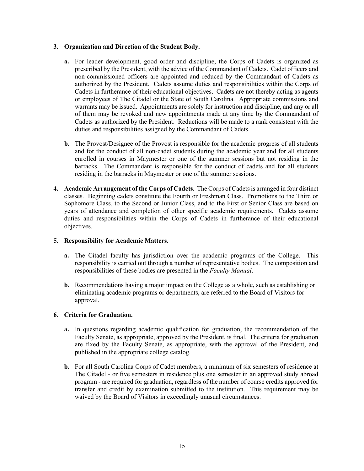# **3. Organization and Direction of the Student Body.**

- **a.** For leader development, good order and discipline, the Corps of Cadets is organized as prescribed by the President, with the advice of the Commandant of Cadets. Cadet officers and non-commissioned officers are appointed and reduced by the Commandant of Cadets as authorized by the President. Cadets assume duties and responsibilities within the Corps of Cadets in furtherance of their educational objectives. Cadets are not thereby acting as agents or employees of The Citadel or the State of South Carolina. Appropriate commissions and warrants may be issued. Appointments are solely for instruction and discipline, and any or all of them may be revoked and new appointments made at any time by the Commandant of Cadets as authorized by the President. Reductions will be made to a rank consistent with the duties and responsibilities assigned by the Commandant of Cadets.
- **b.** The Provost/Designee of the Provost is responsible for the academic progress of all students and for the conduct of all non-cadet students during the academic year and for all students enrolled in courses in Maymester or one of the summer sessions but not residing in the barracks. The Commandant is responsible for the conduct of cadets and for all students residing in the barracks in Maymester or one of the summer sessions.
- **4. Academic Arrangement of the Corps of Cadets.** The Corps of Cadets is arranged in four distinct classes. Beginning cadets constitute the Fourth or Freshman Class. Promotions to the Third or Sophomore Class, to the Second or Junior Class, and to the First or Senior Class are based on years of attendance and completion of other specific academic requirements. Cadets assume duties and responsibilities within the Corps of Cadets in furtherance of their educational objectives.

# **5. Responsibility for Academic Matters.**

- **a.** The Citadel faculty has jurisdiction over the academic programs of the College. This responsibility is carried out through a number of representative bodies. The composition and responsibilities of these bodies are presented in the *Faculty Manual*.
- **b.** Recommendations having a major impact on the College as a whole, such as establishing or eliminating academic programs or departments, are referred to the Board of Visitors for approval.

# **6. Criteria for Graduation.**

- **a.** In questions regarding academic qualification for graduation, the recommendation of the Faculty Senate, as appropriate, approved by the President, is final. The criteria for graduation are fixed by the Faculty Senate, as appropriate, with the approval of the President, and published in the appropriate college catalog.
- **b.** For all South Carolina Corps of Cadet members, a minimum of six semesters of residence at The Citadel - or five semesters in residence plus one semester in an approved study abroad program - are required for graduation, regardless of the number of course credits approved for transfer and credit by examination submitted to the institution.This requirement may be waived by the Board of Visitors in exceedingly unusual circumstances.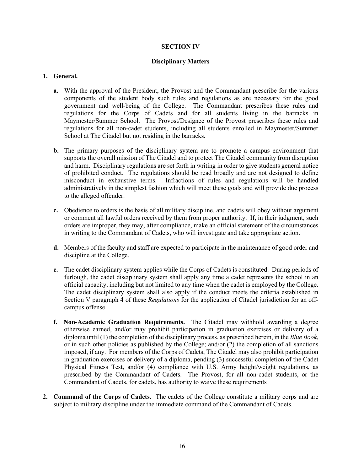#### **SECTION IV**

#### **Disciplinary Matters**

#### **1. General.**

- **a.** With the approval of the President, the Provost and the Commandant prescribe for the various components of the student body such rules and regulations as are necessary for the good government and well-being of the College. The Commandant prescribes these rules and regulations for the Corps of Cadets and for all students living in the barracks in Maymester/Summer School. The Provost/Designee of the Provost prescribes these rules and regulations for all non-cadet students, including all students enrolled in Maymester/Summer School at The Citadel but not residing in the barracks.
- **b.** The primary purposes of the disciplinary system are to promote a campus environment that supports the overall mission of The Citadel and to protect The Citadel community from disruption and harm. Disciplinary regulations are set forth in writing in order to give students general notice of prohibited conduct. The regulations should be read broadly and are not designed to define misconduct in exhaustive terms. Infractions of rules and regulations will be handled administratively in the simplest fashion which will meet these goals and will provide due process to the alleged offender.
- **c.** Obedience to orders is the basis of all military discipline, and cadets will obey without argument or comment all lawful orders received by them from proper authority. If, in their judgment, such orders are improper, they may, after compliance, make an official statement of the circumstances in writing to the Commandant of Cadets, who will investigate and take appropriate action.
- **d.** Members of the faculty and staff are expected to participate in the maintenance of good order and discipline at the College.
- **e.** The cadet disciplinary system applies while the Corps of Cadets is constituted. During periods of furlough, the cadet disciplinary system shall apply any time a cadet represents the school in an official capacity, including but not limited to any time when the cadet is employed by the College. The cadet disciplinary system shall also apply if the conduct meets the criteria established in Section V paragraph 4 of these *Regulations* for the application of Citadel jurisdiction for an offcampus offense.
- **f. Non-Academic Graduation Requirements.** The Citadel may withhold awarding a degree otherwise earned, and/or may prohibit participation in graduation exercises or delivery of a diploma until (1) the completion of the disciplinary process, as prescribed herein, in the *Blue Book*, or in such other policies as published by the College; and/or (2) the completion of all sanctions imposed, if any. For members of the Corps of Cadets, The Citadel may also prohibit participation in graduation exercises or delivery of a diploma, pending (3) successful completion of the Cadet Physical Fitness Test, and/or (4) compliance with U.S. Army height/weight regulations, as prescribed by the Commandant of Cadets. The Provost, for all non-cadet students, or the Commandant of Cadets, for cadets, has authority to waive these requirements
- **2. Command of the Corps of Cadets.** The cadets of the College constitute a military corps and are subject to military discipline under the immediate command of the Commandant of Cadets.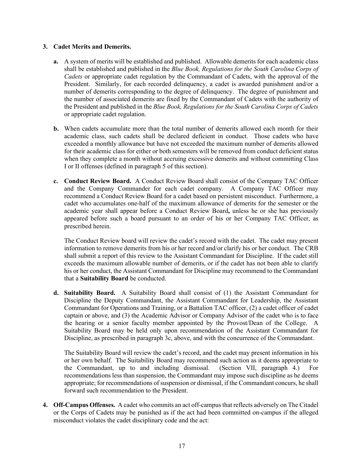# **3. Cadet Merits and Demerits.**

- **a.** A system of merits will be established and published. Allowable demerits for each academic class shall be established and published in the *Blue Book, Regulations for the South Carolina Corps of Cadets* or appropriate cadet regulation by the Commandant of Cadets, with the approval of the President. Similarly, for each recorded delinquency, a cadet is awarded punishment and/or a number of demerits corresponding to the degree of delinquency. The degree of punishment and the number of associated demerits are fixed by the Commandant of Cadets with the authority of the President and published in the *Blue Book, Regulations for the South Carolina Corps of Cadets* or appropriate cadet regulation.
- **b.** When cadets accumulate more than the total number of demerits allowed each month for their academic class, such cadets shall be declared deficient in conduct. Those cadets who have exceeded a monthly allowance but have not exceeded the maximum number of demerits allowed for their academic class for either or both semesters will be removed from conduct deficient status when they complete a month without accruing excessive demerits and without committing Class I or II offenses (defined in paragraph 5 of this section).
- **c. Conduct Review Board.** A Conduct Review Board shall consist of the Company TAC Officer and the Company Commander for each cadet company. A Company TAC Officer may recommend a Conduct Review Board for a cadet based on persistent misconduct. Furthermore, a cadet who accumulates one-half of the maximum allowance of demerits for the semester or the academic year shall appear before a Conduct Review Board**,** unless he or she has previously appeared before such a board pursuant to an order of his or her Company TAC Officer, as prescribed herein.

The Conduct Review board will review the cadet's record with the cadet. The cadet may present information to remove demerits from his or her record and/or clarify his or her conduct. The CRB shall submit a report of this review to the Assistant Commandant for Discipline. If the cadet still exceeds the maximum allowable number of demerits, or if the cadet has not been able to clarify his or her conduct, the Assistant Commandant for Discipline may recommend to the Commandant that a **Suitability Board** be conducted.

**d. Suitability Board.** A Suitability Board shall consist of (1) the Assistant Commandant for Discipline the Deputy Commandant, the Assistant Commandant for Leadership, the Assistant Commandant for Operations and Training, or a Battalion TAC officer, (2) a cadet officer of cadet captain or above, and (3) the Academic Advisor or Company Advisor of the cadet who is to face the hearing or a senior faculty member appointed by the Provost/Dean of the College. A Suitability Board may be held only upon recommendation of the Assistant Commandant for Discipline, as prescribed in paragraph 3c, above, and with the concurrence of the Commandant.

The Suitability Board will review the cadet's record, and the cadet may present information in his or her own behalf. The Suitability Board may recommend such action as it deems appropriate to the Commandant, up to and including dismissal. (Section VII, paragraph 4.) For recommendations less than suspension, the Commandant may impose such discipline as he deems appropriate; for recommendations of suspension or dismissal, if the Commandant concurs, he shall forward such recommendation to the President.

**4. Off-Campus Offenses.** A cadet who commits an act off-campus that reflects adversely on The Citadel or the Corps of Cadets may be punished as if the act had been committed on-campus if the alleged misconduct violates the cadet disciplinary code and the act: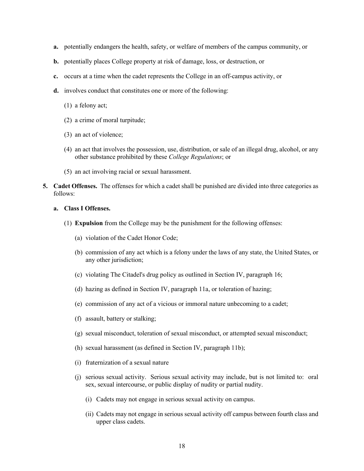- **a.** potentially endangers the health, safety, or welfare of members of the campus community, or
- **b.** potentially places College property at risk of damage, loss, or destruction, or
- **c.** occurs at a time when the cadet represents the College in an off-campus activity, or
- **d.** involves conduct that constitutes one or more of the following:
	- (1) a felony act;
	- (2) a crime of moral turpitude;
	- (3) an act of violence;
	- (4) an act that involves the possession, use, distribution, or sale of an illegal drug, alcohol, or any other substance prohibited by these *College Regulations*; or
	- (5) an act involving racial or sexual harassment.
- **5. Cadet Offenses.**The offenses for which a cadet shall be punished are divided into three categories as follows:

# **a. Class I Offenses.**

- (1) **Expulsion** from the College may be the punishment for the following offenses:
	- (a) violation of the Cadet Honor Code;
	- (b) commission of any act which is a felony under the laws of any state, the United States, or any other jurisdiction;
	- (c) violating The Citadel's drug policy as outlined in Section IV, paragraph 16;
	- (d) hazing as defined in Section IV, paragraph 11a, or toleration of hazing;
	- (e) commission of any act of a vicious or immoral nature unbecoming to a cadet;
	- (f) assault, battery or stalking;
	- (g) sexual misconduct, toleration of sexual misconduct, or attempted sexual misconduct;
	- (h) sexual harassment (as defined in Section IV, paragraph 11b);
	- (i) fraternization of a sexual nature
	- (j) serious sexual activity. Serious sexual activity may include, but is not limited to: oral sex, sexual intercourse, or public display of nudity or partial nudity.
		- (i) Cadets may not engage in serious sexual activity on campus.
		- (ii) Cadets may not engage in serious sexual activity off campus between fourth class and upper class cadets.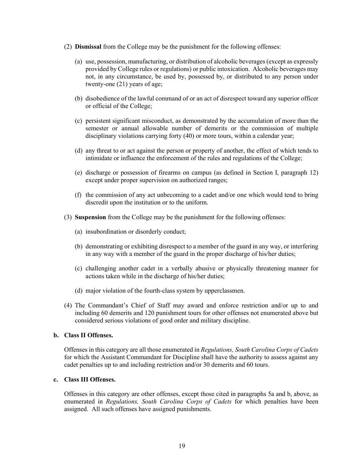- (2) **Dismissal** from the College may be the punishment for the following offenses:
	- (a) use, possession, manufacturing, or distribution of alcoholic beverages (except as expressly provided by College rules or regulations) or public intoxication. Alcoholic beverages may not, in any circumstance, be used by, possessed by, or distributed to any person under twenty-one (21) years of age;
	- (b) disobedience of the lawful command of or an act of disrespect toward any superior officer or official of the College;
	- (c) persistent significant misconduct, as demonstrated by the accumulation of more than the semester or annual allowable number of demerits or the commission of multiple disciplinary violations carrying forty (40) or more tours, within a calendar year;
	- (d) any threat to or act against the person or property of another, the effect of which tends to intimidate or influence the enforcement of the rules and regulations of the College;
	- (e) discharge or possession of firearms on campus (as defined in Section I, paragraph 12) except under proper supervision on authorized ranges;
	- (f) the commission of any act unbecoming to a cadet and/or one which would tend to bring discredit upon the institution or to the uniform.
- (3) **Suspension** from the College may be the punishment for the following offenses:
	- (a) insubordination or disorderly conduct;
	- (b) demonstrating or exhibiting disrespect to a member of the guard in any way, or interfering in any way with a member of the guard in the proper discharge of his/her duties;
	- (c) challenging another cadet in a verbally abusive or physically threatening manner for actions taken while in the discharge of his/her duties;
	- (d) major violation of the fourth-class system by upperclassmen.
- (4) The Commandant's Chief of Staff may award and enforce restriction and/or up to and including 60 demerits and 120 punishment tours for other offenses not enumerated above but considered serious violations of good order and military discipline.

#### **b. Class II Offenses.**

Offenses in this category are all those enumerated in *Regulations, South Carolina Corps of Cadets*  for which the Assistant Commandant for Discipline shall have the authority to assess against any cadet penalties up to and including restriction and/or 30 demerits and 60 tours.

# **c. Class III Offenses.**

Offenses in this category are other offenses, except those cited in paragraphs 5a and b, above, as enumerated in *Regulations, South Carolina Corps of Cadets* for which penalties have been assigned. All such offenses have assigned punishments.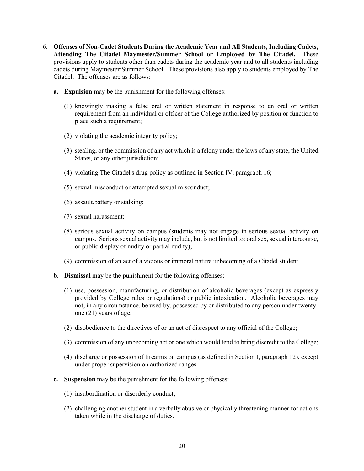- **6. Offenses of Non-Cadet Students During the Academic Year and All Students, Including Cadets, Attending The Citadel Maymester/Summer School or Employed by The Citadel.** These provisions apply to students other than cadets during the academic year and to all students including cadets during Maymester/Summer School. These provisions also apply to students employed by The Citadel.The offenses are as follows:
	- **a. Expulsion** may be the punishment for the following offenses:
		- (1) knowingly making a false oral or written statement in response to an oral or written requirement from an individual or officer of the College authorized by position or function to place such a requirement;
		- (2) violating the academic integrity policy;
		- (3) stealing, or the commission of any act which is a felony under the laws of any state, the United States, or any other jurisdiction;
		- (4) violating The Citadel's drug policy as outlined in Section IV, paragraph 16;
		- (5) sexual misconduct or attempted sexual misconduct;
		- (6) assault,battery or stalking;
		- (7) sexual harassment;
		- (8) serious sexual activity on campus (students may not engage in serious sexual activity on campus. Serious sexual activity may include, but is not limited to: oralsex, sexual intercourse, or public display of nudity or partial nudity);
		- (9) commission of an act of a vicious or immoral nature unbecoming of a Citadel student.
	- **b. Dismissal** may be the punishment for the following offenses:
		- (1) use, possession, manufacturing, or distribution of alcoholic beverages (except as expressly provided by College rules or regulations) or public intoxication. Alcoholic beverages may not, in any circumstance, be used by, possessed by or distributed to any person under twentyone (21) years of age;
		- (2) disobedience to the directives of or an act of disrespect to any official of the College;
		- (3) commission of any unbecoming act or one which would tend to bring discredit to the College;
		- (4) discharge or possession of firearms on campus (as defined in Section I, paragraph 12), except under proper supervision on authorized ranges.
	- **c. Suspension** may be the punishment for the following offenses:
		- (1) insubordination or disorderly conduct;
		- (2) challenging another student in a verbally abusive or physically threatening manner for actions taken while in the discharge of duties.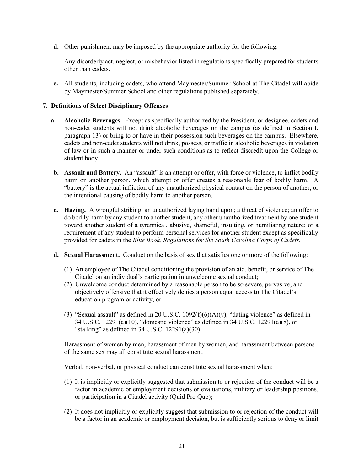**d.** Other punishment may be imposed by the appropriate authority for the following:

Any disorderly act, neglect, or misbehavior listed in regulations specifically prepared for students other than cadets.

**e.** All students, including cadets, who attend Maymester/Summer School at The Citadel will abide by Maymester/Summer School and other regulations published separately.

# **7. Definitions of Select Disciplinary Offenses**

- **a. Alcoholic Beverages.** Except as specifically authorized by the President, or designee, cadets and non-cadet students will not drink alcoholic beverages on the campus (as defined in Section I, paragraph 13) or bring to or have in their possession such beverages on the campus. Elsewhere, cadets and non-cadet students will not drink, possess, or traffic in alcoholic beverages in violation of law or in such a manner or under such conditions as to reflect discredit upon the College or student body.
- **b.** Assault and Battery. An "assault" is an attempt or offer, with force or violence, to inflict bodily harm on another person, which attempt or offer creates a reasonable fear of bodily harm. A "battery" is the actual infliction of any unauthorized physical contact on the person of another, or the intentional causing of bodily harm to another person.
- **c. Hazing.** A wrongful striking, an unauthorized laying hand upon; a threat of violence; an offer to do bodily harm by any student to another student; any other unauthorized treatment by one student toward another student of a tyrannical, abusive, shameful, insulting, or humiliating nature; or a requirement of any student to perform personal services for another student except as specifically provided for cadets in the *Blue Book, Regulations for the South Carolina Corps of Cadets.*
- **d. Sexual Harassment.** Conduct on the basis of sex that satisfies one or more of the following:
	- (1) An employee of The Citadel conditioning the provision of an aid, benefit, or service of The Citadel on an individual's participation in unwelcome sexual conduct;
	- (2) Unwelcome conduct determined by a reasonable person to be so severe, pervasive, and objectively offensive that it effectively denies a person equal access to The Citadel's education program or activity, or
	- (3) "Sexual assault" as defined in 20 U.S.C.  $1092(f)(6)(A)(v)$ , "dating violence" as defined in 34 U.S.C. 12291(a)(10), "domestic violence" as defined in 34 U.S.C. 12291(a)(8), or "stalking" as defined in  $34$  U.S.C.  $12291(a)(30)$ .

Harassment of women by men, harassment of men by women, and harassment between persons of the same sex may all constitute sexual harassment.

Verbal, non-verbal, or physical conduct can constitute sexual harassment when:

- (1) It is implicitly or explicitly suggested that submission to or rejection of the conduct will be a factor in academic or employment decisions or evaluations, military or leadership positions, or participation in a Citadel activity (Quid Pro Quo);
- (2) It does not implicitly or explicitly suggest that submission to or rejection of the conduct will be a factor in an academic or employment decision, but is sufficiently serious to deny or limit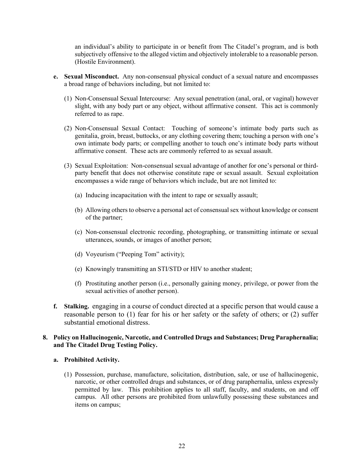an individual's ability to participate in or benefit from The Citadel's program, and is both subjectively offensive to the alleged victim and objectively intolerable to a reasonable person. (Hostile Environment).

- **e. Sexual Misconduct.** Any non-consensual physical conduct of a sexual nature and encompasses a broad range of behaviors including, but not limited to:
	- (1) Non-Consensual Sexual Intercourse: Any sexual penetration (anal, oral, or vaginal) however slight, with any body part or any object, without affirmative consent. This act is commonly referred to as rape.
	- (2) Non-Consensual Sexual Contact: Touching of someone's intimate body parts such as genitalia, groin, breast, buttocks, or any clothing covering them; touching a person with one's own intimate body parts; or compelling another to touch one's intimate body parts without affirmative consent. These acts are commonly referred to as sexual assault.
	- (3) Sexual Exploitation: Non-consensual sexual advantage of another for one's personal or thirdparty benefit that does not otherwise constitute rape or sexual assault. Sexual exploitation encompasses a wide range of behaviors which include, but are not limited to:
		- (a) Inducing incapacitation with the intent to rape or sexually assault;
		- (b) Allowing others to observe a personal act of consensual sex without knowledge or consent of the partner;
		- (c) Non-consensual electronic recording, photographing, or transmitting intimate or sexual utterances, sounds, or images of another person;
		- (d) Voyeurism ("Peeping Tom" activity);
		- (e) Knowingly transmitting an STI/STD or HIV to another student;
		- (f) Prostituting another person (i.e., personally gaining money, privilege, or power from the sexual activities of another person).
- **f. Stalking.** engaging in a course of conduct directed at a specific person that would cause a reasonable person to (1) fear for his or her safety or the safety of others; or (2) suffer substantial emotional distress.

# **8. Policy on Hallucinogenic, Narcotic, and Controlled Drugs and Substances; Drug Paraphernalia; and The Citadel Drug Testing Policy.**

#### **a. Prohibited Activity.**

(1) Possession, purchase, manufacture, solicitation, distribution, sale, or use of hallucinogenic, narcotic, or other controlled drugs and substances, or of drug paraphernalia, unless expressly permitted by law. This prohibition applies to all staff, faculty, and students, on and off campus. All other persons are prohibited from unlawfully possessing these substances and items on campus;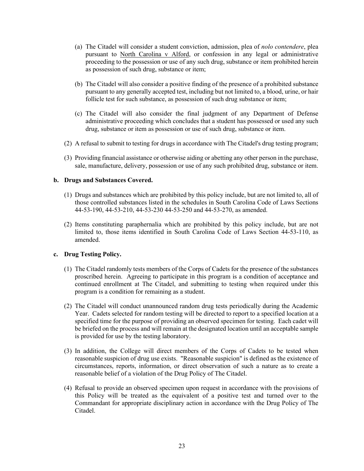- (a) The Citadel will consider a student conviction, admission, plea of *nolo contendere*, plea pursuant to North Carolina v Alford, or confession in any legal or administrative proceeding to the possession or use of any such drug, substance or item prohibited herein as possession of such drug, substance or item;
- (b) The Citadel will also consider a positive finding of the presence of a prohibited substance pursuant to any generally accepted test, including but not limited to, a blood, urine, or hair follicle test for such substance, as possession of such drug substance or item;
- (c) The Citadel will also consider the final judgment of any Department of Defense administrative proceeding which concludes that a student has possessed or used any such drug, substance or item as possession or use of such drug, substance or item.
- (2) A refusal to submit to testing for drugs in accordance with The Citadel's drug testing program;
- (3) Providing financial assistance or otherwise aiding or abetting any other person in the purchase, sale, manufacture, delivery, possession or use of any such prohibited drug, substance or item.

#### **b. Drugs and Substances Covered.**

- (1) Drugs and substances which are prohibited by this policy include, but are not limited to, all of those controlled substances listed in the schedules in South Carolina Code of Laws Sections 44-53-190, 44-53-210, 44-53-230 44-53-250 and 44-53-270, as amended.
- (2) Items constituting paraphernalia which are prohibited by this policy include, but are not limited to, those items identified in South Carolina Code of Laws Section 44-53-110, as amended.

# **c. Drug Testing Policy.**

- (1) The Citadel randomly tests members of the Corps of Cadets for the presence of the substances proscribed herein. Agreeing to participate in this program is a condition of acceptance and continued enrollment at The Citadel, and submitting to testing when required under this program is a condition for remaining as a student.
- (2) The Citadel will conduct unannounced random drug tests periodically during the Academic Year. Cadets selected for random testing will be directed to report to a specified location at a specified time for the purpose of providing an observed specimen for testing. Each cadet will be briefed on the process and will remain at the designated location until an acceptable sample is provided for use by the testing laboratory.
- (3) In addition, the College will direct members of the Corps of Cadets to be tested when reasonable suspicion of drug use exists. "Reasonable suspicion" is defined as the existence of circumstances, reports, information, or direct observation of such a nature as to create a reasonable belief of a violation of the Drug Policy of The Citadel.
- (4) Refusal to provide an observed specimen upon request in accordance with the provisions of this Policy will be treated as the equivalent of a positive test and turned over to the Commandant for appropriate disciplinary action in accordance with the Drug Policy of The Citadel.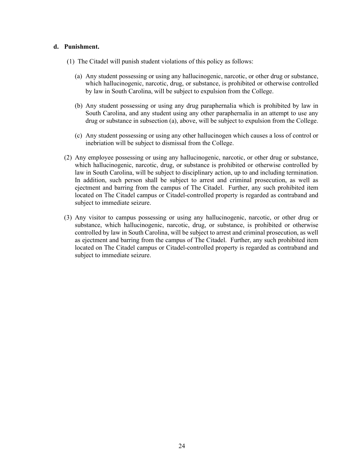#### **d. Punishment.**

- (1) The Citadel will punish student violations of this policy as follows:
	- (a) Any student possessing or using any hallucinogenic, narcotic, or other drug or substance, which hallucinogenic, narcotic, drug, or substance, is prohibited or otherwise controlled by law in South Carolina, will be subject to expulsion from the College.
	- (b) Any student possessing or using any drug paraphernalia which is prohibited by law in South Carolina, and any student using any other paraphernalia in an attempt to use any drug or substance in subsection (a), above, will be subject to expulsion from the College.
	- (c) Any student possessing or using any other hallucinogen which causes a loss of control or inebriation will be subject to dismissal from the College.
- (2) Any employee possessing or using any hallucinogenic, narcotic, or other drug or substance, which hallucinogenic, narcotic, drug, or substance is prohibited or otherwise controlled by law in South Carolina, will be subject to disciplinary action, up to and including termination. In addition, such person shall be subject to arrest and criminal prosecution, as well as ejectment and barring from the campus of The Citadel. Further, any such prohibited item located on The Citadel campus or Citadel-controlled property is regarded as contraband and subject to immediate seizure.
- (3) Any visitor to campus possessing or using any hallucinogenic, narcotic, or other drug or substance, which hallucinogenic, narcotic, drug, or substance, is prohibited or otherwise controlled by law in South Carolina, will be subject to arrest and criminal prosecution, as well as ejectment and barring from the campus of The Citadel. Further, any such prohibited item located on The Citadel campus or Citadel-controlled property is regarded as contraband and subject to immediate seizure.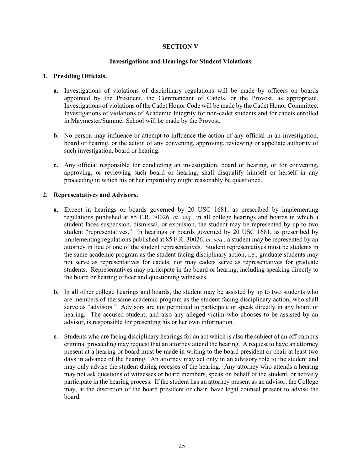# **SECTION V**

#### **Investigations and Hearings for Student Violations**

#### **1. Presiding Officials.**

- **a.** Investigations of violations of disciplinary regulations will be made by officers on boards appointed by the President, the Commandant of Cadets, or the Provost, as appropriate. Investigations of violations of the Cadet Honor Code will be made by the Cadet Honor Committee. Investigations of violations of Academic Integrity for non-cadet students and for cadets enrolled in Maymester/Summer School will be made by the Provost.
- **b.** No person may influence or attempt to influence the action of any official in an investigation, board or hearing, or the action of any convening, approving, reviewing or appellate authority of such investigation, board or hearing.
- **c.** Any official responsible for conducting an investigation, board or hearing, or for convening, approving, or reviewing such board or hearing, shall disqualify himself or herself in any proceeding in which his or her impartiality might reasonably be questioned.

#### **2. Representatives and Advisors.**

- **a.** Except in hearings or boards governed by 20 USC 1681, as prescribed by implementing regulations published at 85 F.R. 30026, *et. seq.*, in all college hearings and boards in which a student faces suspension, dismissal, or expulsion, the student may be represented by up to two student "representatives." In hearings or boards governed by 20 USC 1681, as prescribed by implementing regulations published at 85 F.R. 30026, *et. seq.*, a student may be represented by an attorney in lieu of one of the student representatives. Student representatives must be students in the same academic program as the student facing disciplinary action, i.e., graduate students may not serve as representatives for cadets, nor may cadets serve as representatives for graduate students. Representatives may participate in the board or hearing, including speaking directly to the board or hearing officer and questioning witnesses.
- **b.** In all other college hearings and boards, the student may be assisted by up to two students who are members of the same academic program as the student facing disciplinary action, who shall serve as "advisors." Advisors are not permitted to participate or speak directly in any board or hearing. The accused student, and also any alleged victim who chooses to be assisted by an advisor, is responsible for presenting his or her own information.
- **c.** Students who are facing disciplinary hearings for an act which is also the subject of an off-campus criminal proceeding may request that an attorney attend the hearing. A request to have an attorney present at a hearing or board must be made in writing to the board president or chair at least two days in advance of the hearing. An attorney may act only in an advisory role to the student and may only advise the student during recesses of the hearing. Any attorney who attends a hearing may not ask questions of witnesses or board members, speak on behalf of the student, or actively participate in the hearing process. If the student has an attorney present as an advisor, the College may, at the discretion of the board president or chair, have legal counsel present to advise the board.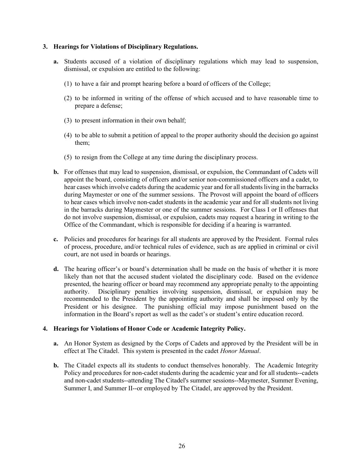#### **3. Hearings for Violations of Disciplinary Regulations.**

- **a.** Students accused of a violation of disciplinary regulations which may lead to suspension, dismissal, or expulsion are entitled to the following:
	- (1) to have a fair and prompt hearing before a board of officers of the College;
	- (2) to be informed in writing of the offense of which accused and to have reasonable time to prepare a defense;
	- (3) to present information in their own behalf;
	- (4) to be able to submit a petition of appeal to the proper authority should the decision go against them;
	- (5) to resign from the College at any time during the disciplinary process.
- **b.** For offenses that may lead to suspension, dismissal, or expulsion, the Commandant of Cadets will appoint the board, consisting of officers and/or senior non-commissioned officers and a cadet, to hear cases which involve cadets during the academic year and for all students living in the barracks during Maymester or one of the summer sessions. The Provost will appoint the board of officers to hear cases which involve non-cadet students in the academic year and for all students not living in the barracks during Maymester or one of the summer sessions. For Class I or II offenses that do not involve suspension, dismissal, or expulsion, cadets may request a hearing in writing to the Office of the Commandant, which is responsible for deciding if a hearing is warranted.
- **c.** Policies and procedures for hearings for all students are approved by the President. Formal rules of process, procedure, and/or technical rules of evidence, such as are applied in criminal or civil court, are not used in boards or hearings.
- **d.** The hearing officer's or board's determination shall be made on the basis of whether it is more likely than not that the accused student violated the disciplinary code. Based on the evidence presented, the hearing officer or board may recommend any appropriate penalty to the appointing authority. Disciplinary penalties involving suspension, dismissal, or expulsion may be recommended to the President by the appointing authority and shall be imposed only by the President or his designee. The punishing official may impose punishment based on the information in the Board's report as well as the cadet's or student's entire education record.

# **4. Hearings for Violations of Honor Code or Academic Integrity Policy.**

- **a.** An Honor System as designed by the Corps of Cadets and approved by the President will be in effect at The Citadel. This system is presented in the cadet *Honor Manual*.
- **b.** The Citadel expects all its students to conduct themselves honorably. The Academic Integrity Policy and procedures for non-cadet students during the academic year and for all students--cadets and non-cadet students--attending The Citadel's summer sessions--Maymester, Summer Evening, Summer I, and Summer II--or employed by The Citadel, are approved by the President.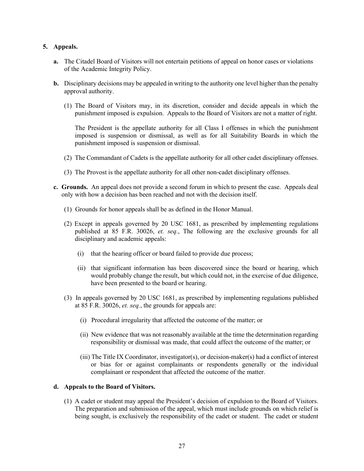# **5. Appeals.**

- **a.** The Citadel Board of Visitors will not entertain petitions of appeal on honor cases or violations of the Academic Integrity Policy.
- **b.** Disciplinary decisions may be appealed in writing to the authority one level higher than the penalty approval authority.
	- (1) The Board of Visitors may, in its discretion, consider and decide appeals in which the punishment imposed is expulsion. Appeals to the Board of Visitors are not a matter of right.

The President is the appellate authority for all Class I offenses in which the punishment imposed is suspension or dismissal, as well as for all Suitability Boards in which the punishment imposed is suspension or dismissal.

- (2) The Commandant of Cadets is the appellate authority for all other cadet disciplinary offenses.
- (3) The Provost is the appellate authority for all other non-cadet disciplinary offenses.
- **c. Grounds.** An appeal does not provide a second forum in which to present the case. Appeals deal only with how a decision has been reached and not with the decision itself.
	- (1)Grounds for honor appeals shall be as defined in the Honor Manual.
	- (2) Except in appeals governed by 20 USC 1681, as prescribed by implementing regulations published at 85 F.R. 30026, *et. seq.*, The following are the exclusive grounds for all disciplinary and academic appeals:
		- (i) that the hearing officer or board failed to provide due process;
		- (ii) that significant information has been discovered since the board or hearing, which would probably change the result, but which could not, in the exercise of due diligence, have been presented to the board or hearing.
	- (3) In appeals governed by 20 USC 1681, as prescribed by implementing regulations published at 85 F.R. 30026, *et. seq.*, the grounds for appeals are:
		- (i) Procedural irregularity that affected the outcome of the matter; or
		- (ii) New evidence that was not reasonably available at the time the determination regarding responsibility or dismissal was made, that could affect the outcome of the matter; or
		- (iii) The Title IX Coordinator, investigator(s), or decision-maker(s) had a conflict of interest or bias for or against complainants or respondents generally or the individual complainant or respondent that affected the outcome of the matter.

#### **d. Appeals to the Board of Visitors.**

(1) A cadet or student may appeal the President's decision of expulsion to the Board of Visitors. The preparation and submission of the appeal, which must include grounds on which relief is being sought, is exclusively the responsibility of the cadet or student. The cadet or student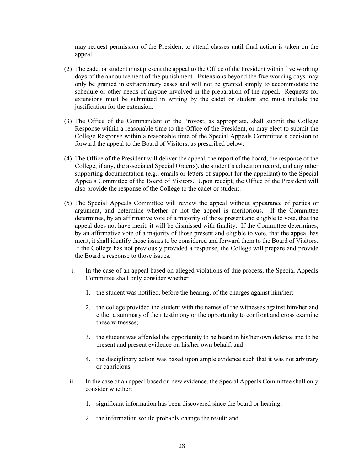may request permission of the President to attend classes until final action is taken on the appeal.

- (2) The cadet or student must present the appeal to the Office of the President within five working days of the announcement of the punishment. Extensions beyond the five working days may only be granted in extraordinary cases and will not be granted simply to accommodate the schedule or other needs of anyone involved in the preparation of the appeal. Requests for extensions must be submitted in writing by the cadet or student and must include the justification for the extension.
- (3) The Office of the Commandant or the Provost, as appropriate, shall submit the College Response within a reasonable time to the Office of the President, or may elect to submit the College Response within a reasonable time of the Special Appeals Committee's decision to forward the appeal to the Board of Visitors, as prescribed below.
- (4) The Office of the President will deliver the appeal, the report of the board, the response of the College, if any, the associated Special Order(s), the student's education record, and any other supporting documentation (e.g., emails or letters of support for the appellant) to the Special Appeals Committee of the Board of Visitors. Upon receipt, the Office of the President will also provide the response of the College to the cadet or student.
- (5) The Special Appeals Committee will review the appeal without appearance of parties or argument, and determine whether or not the appeal is meritorious. If the Committee determines, by an affirmative vote of a majority of those present and eligible to vote, that the appeal does not have merit, it will be dismissed with finality. If the Committee determines, by an affirmative vote of a majority of those present and eligible to vote, that the appeal has merit, it shall identify those issues to be considered and forward them to the Board of Visitors. If the College has not previously provided a response, the College will prepare and provide the Board a response to those issues.
	- i. In the case of an appeal based on alleged violations of due process, the Special Appeals Committee shall only consider whether
		- 1. the student was notified, before the hearing, of the charges against him/her;
		- 2. the college provided the student with the names of the witnesses against him/her and either a summary of their testimony or the opportunity to confront and cross examine these witnesses;
		- 3. the student was afforded the opportunity to be heard in his/her own defense and to be present and present evidence on his/her own behalf; and
		- 4. the disciplinary action was based upon ample evidence such that it was not arbitrary or capricious
	- ii. In the case of an appeal based on new evidence, the Special Appeals Committee shall only consider whether:
		- 1. significant information has been discovered since the board or hearing;
		- 2. the information would probably change the result; and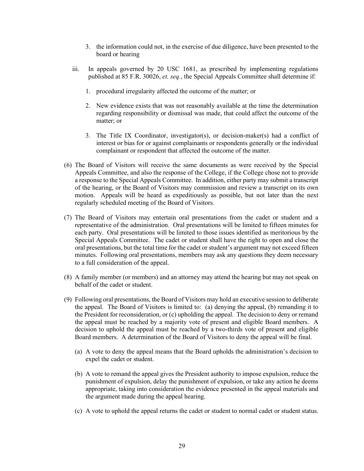- 3. the information could not, in the exercise of due diligence, have been presented to the board or hearing
- iii. In appeals governed by 20 USC 1681, as prescribed by implementing regulations published at 85 F.R. 30026, *et. seq.*, the Special Appeals Committee shall determine if:
	- 1. procedural irregularity affected the outcome of the matter; or
	- 2. New evidence exists that was not reasonably available at the time the determination regarding responsibility or dismissal was made, that could affect the outcome of the matter; or
	- 3. The Title IX Coordinator, investigator(s), or decision-maker(s) had a conflict of interest or bias for or against complainants or respondents generally or the individual complainant or respondent that affected the outcome of the matter.
- (6) The Board of Visitors will receive the same documents as were received by the Special Appeals Committee, and also the response of the College, if the College chose not to provide a response to the Special Appeals Committee. In addition, either party may submit a transcript of the hearing, or the Board of Visitors may commission and review a transcript on its own motion. Appeals will be heard as expeditiously as possible, but not later than the next regularly scheduled meeting of the Board of Visitors.
- (7) The Board of Visitors may entertain oral presentations from the cadet or student and a representative of the administration. Oral presentations will be limited to fifteen minutes for each party. Oral presentations will be limited to those issues identified as meritorious by the Special Appeals Committee. The cadet or student shall have the right to open and close the oral presentations, but the total time for the cadet or student's argument may not exceed fifteen minutes. Following oral presentations, members may ask any questions they deem necessary to a full consideration of the appeal.
- (8) A family member (or members) and an attorney may attend the hearing but may not speak on behalf of the cadet or student.
- (9) Following oral presentations, the Board of Visitors may hold an executive session to deliberate the appeal. The Board of Visitors is limited to: (a) denying the appeal, (b) remanding it to the President for reconsideration, or (c) upholding the appeal. The decision to deny or remand the appeal must be reached by a majority vote of present and eligible Board members. A decision to uphold the appeal must be reached by a two-thirds vote of present and eligible Board members. A determination of the Board of Visitors to deny the appeal will be final.
	- (a) A vote to deny the appeal means that the Board upholds the administration's decision to expel the cadet or student.
	- (b) A vote to remand the appeal gives the President authority to impose expulsion, reduce the punishment of expulsion, delay the punishment of expulsion, or take any action he deems appropriate, taking into consideration the evidence presented in the appeal materials and the argument made during the appeal hearing.
	- (c) A vote to uphold the appeal returns the cadet or student to normal cadet or student status.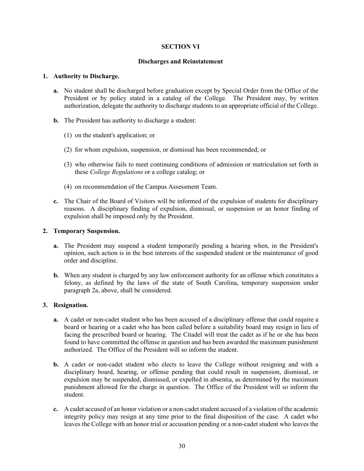# **SECTION VI**

#### **Discharges and Reinstatement**

#### **1. Authority to Discharge.**

- **a.** No student shall be discharged before graduation except by Special Order from the Office of the President or by policy stated in a catalog of the College. The President may, by written authorization, delegate the authority to discharge students to an appropriate official of the College.
- **b.** The President has authority to discharge a student:
	- (1) on the student's application; or
	- (2) for whom expulsion, suspension, or dismissal has been recommended; or
	- (3) who otherwise fails to meet continuing conditions of admission or matriculation set forth in these *College Regulations* or a college catalog; or
	- (4) on recommendation of the Campus Assessment Team.
- **c.** The Chair of the Board of Visitors will be informed of the expulsion of students for disciplinary reasons. A disciplinary finding of expulsion, dismissal, or suspension or an honor finding of expulsion shall be imposed only by the President.

# **2. Temporary Suspension.**

- **a.** The President may suspend a student temporarily pending a hearing when, in the President's opinion, such action is in the best interests of the suspended student or the maintenance of good order and discipline.
- **b.** When any student is charged by any law enforcement authority for an offense which constitutes a felony, as defined by the laws of the state of South Carolina, temporary suspension under paragraph 2a, above, shall be considered.

# **3. Resignation.**

- **a.** A cadet or non-cadet student who has been accused of a disciplinary offense that could require a board or hearing or a cadet who has been called before a suitability board may resign in lieu of facing the prescribed board or hearing. The Citadel will treat the cadet as if he or she has been found to have committed the offense in question and has been awarded the maximum punishment authorized. The Office of the President will so inform the student.
- **b.** A cadet or non-cadet student who elects to leave the College without resigning and with a disciplinary board, hearing, or offense pending that could result in suspension, dismissal, or expulsion may be suspended, dismissed, or expelled in absentia, as determined by the maximum punishment allowed for the charge in question. The Office of the President will so inform the student.
- **c.** A cadet accused of an honor violation or a non-cadet student accused of a violation of the academic integrity policy may resign at any time prior to the final disposition of the case. A cadet who leaves the College with an honor trial or accusation pending or a non-cadet student who leaves the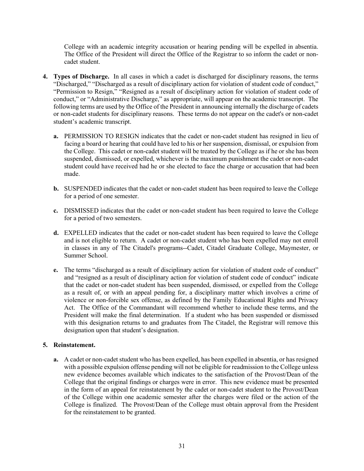College with an academic integrity accusation or hearing pending will be expelled in absentia. The Office of the President will direct the Office of the Registrar to so inform the cadet or noncadet student.

- **4. Types of Discharge.** In all cases in which a cadet is discharged for disciplinary reasons, the terms "Discharged," "Discharged as a result of disciplinary action for violation of student code of conduct," "Permission to Resign," "Resigned as a result of disciplinary action for violation of student code of conduct," or "Administrative Discharge," as appropriate, will appear on the academic transcript. The following terms are used by the Office of the President in announcing internally the discharge of cadets or non-cadet students for disciplinary reasons. These terms do not appear on the cadet's or non-cadet student's academic transcript.
	- **a.** PERMISSION TO RESIGN indicates that the cadet or non-cadet student has resigned in lieu of facing a board or hearing that could have led to his or her suspension, dismissal, or expulsion from the College. This cadet or non-cadet student will be treated by the College as if he or she has been suspended, dismissed, or expelled, whichever is the maximum punishment the cadet or non-cadet student could have received had he or she elected to face the charge or accusation that had been made.
	- **b.** SUSPENDED indicates that the cadet or non-cadet student has been required to leave the College for a period of one semester.
	- **c.** DISMISSED indicates that the cadet or non-cadet student has been required to leave the College for a period of two semesters.
	- **d.** EXPELLED indicates that the cadet or non-cadet student has been required to leave the College and is not eligible to return. A cadet or non-cadet student who has been expelled may not enroll in classes in any of The Citadel's programs--Cadet, Citadel Graduate College, Maymester, or Summer School.
	- **e.** The terms "discharged as a result of disciplinary action for violation of student code of conduct" and "resigned as a result of disciplinary action for violation of student code of conduct" indicate that the cadet or non-cadet student has been suspended, dismissed, or expelled from the College as a result of, or with an appeal pending for, a disciplinary matter which involves a crime of violence or non-forcible sex offense, as defined by the Family Educational Rights and Privacy Act. The Office of the Commandant will recommend whether to include these terms, and the President will make the final determination. If a student who has been suspended or dismissed with this designation returns to and graduates from The Citadel, the Registrar will remove this designation upon that student's designation.

# **5. Reinstatement.**

**a.** A cadet or non-cadet student who has been expelled, has been expelled in absentia, or has resigned with a possible expulsion offense pending will not be eligible for readmission to the College unless new evidence becomes available which indicates to the satisfaction of the Provost/Dean of the College that the original findings or charges were in error. This new evidence must be presented in the form of an appeal for reinstatement by the cadet or non-cadet student to the Provost/Dean of the College within one academic semester after the charges were filed or the action of the College is finalized. The Provost/Dean of the College must obtain approval from the President for the reinstatement to be granted.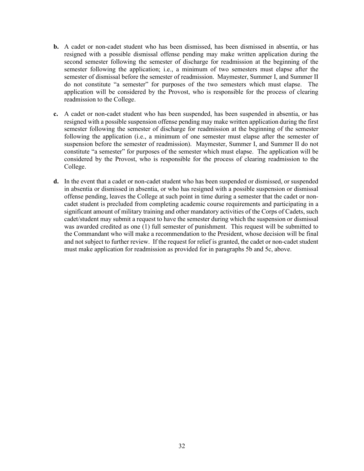- **b.** A cadet or non-cadet student who has been dismissed, has been dismissed in absentia, or has resigned with a possible dismissal offense pending may make written application during the second semester following the semester of discharge for readmission at the beginning of the semester following the application; i.e., a minimum of two semesters must elapse after the semester of dismissal before the semester of readmission. Maymester, Summer I, and Summer II do not constitute "a semester" for purposes of the two semesters which must elapse. The application will be considered by the Provost, who is responsible for the process of clearing readmission to the College.
- **c.** A cadet or non-cadet student who has been suspended, has been suspended in absentia, or has resigned with a possible suspension offense pending may make written application during the first semester following the semester of discharge for readmission at the beginning of the semester following the application (i.e., a minimum of one semester must elapse after the semester of suspension before the semester of readmission). Maymester, Summer I, and Summer II do not constitute "a semester" for purposes of the semester which must elapse. The application will be considered by the Provost, who is responsible for the process of clearing readmission to the College.
- **d.** In the event that a cadet or non-cadet student who has been suspended or dismissed, or suspended in absentia or dismissed in absentia, or who has resigned with a possible suspension or dismissal offense pending, leaves the College at such point in time during a semester that the cadet or noncadet student is precluded from completing academic course requirements and participating in a significant amount of military training and other mandatory activities of the Corps of Cadets, such cadet/student may submit a request to have the semester during which the suspension or dismissal was awarded credited as one (1) full semester of punishment. This request will be submitted to the Commandant who will make a recommendation to the President, whose decision will be final and not subject to further review. If the request for relief is granted, the cadet or non-cadet student must make application for readmission as provided for in paragraphs 5b and 5c, above.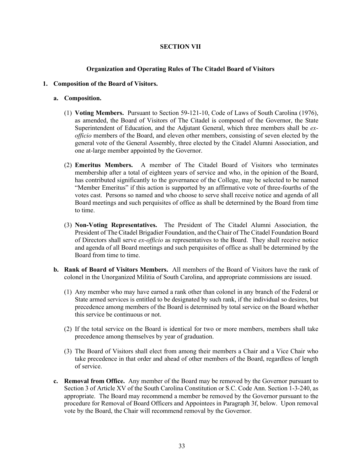# **SECTION VII**

#### **Organization and Operating Rules of The Citadel Board of Visitors**

#### **1. Composition of the Board of Visitors.**

#### **a. Composition.**

- (1) **Voting Members.** Pursuant to Section 59-121-10, Code of Laws of South Carolina (1976), as amended, the Board of Visitors of The Citadel is composed of the Governor, the State Superintendent of Education, and the Adjutant General, which three members shall be *exofficio* members of the Board, and eleven other members, consisting of seven elected by the general vote of the General Assembly, three elected by the Citadel Alumni Association, and one at-large member appointed by the Governor.
- (2) **Emeritus Members.** A member of The Citadel Board of Visitors who terminates membership after a total of eighteen years of service and who, in the opinion of the Board, has contributed significantly to the governance of the College, may be selected to be named "Member Emeritus" if this action is supported by an affirmative vote of three-fourths of the votes cast. Persons so named and who choose to serve shall receive notice and agenda of all Board meetings and such perquisites of office as shall be determined by the Board from time to time.
- (3) **Non-Voting Representatives.** The President of The Citadel Alumni Association, the President of The Citadel Brigadier Foundation, and the Chair of The Citadel Foundation Board of Directors shall serve *ex-officio* as representatives to the Board. They shall receive notice and agenda of all Board meetings and such perquisites of office as shall be determined by the Board from time to time.
- **b. Rank of Board of Visitors Members.** All members of the Board of Visitors have the rank of colonel in the Unorganized Militia of South Carolina, and appropriate commissions are issued.
	- (1) Any member who may have earned a rank other than colonel in any branch of the Federal or State armed services is entitled to be designated by such rank, if the individual so desires, but precedence among members of the Board is determined by total service on the Board whether this service be continuous or not.
	- (2) If the total service on the Board is identical for two or more members, members shall take precedence among themselves by year of graduation.
	- (3) The Board of Visitors shall elect from among their members a Chair and a Vice Chair who take precedence in that order and ahead of other members of the Board, regardless of length of service.
- **c. Removal from Office.** Any member of the Board may be removed by the Governor pursuant to Section 3 of Article XV of the South Carolina Constitution or S.C. Code Ann. Section 1-3-240, as appropriate. The Board may recommend a member be removed by the Governor pursuant to the procedure for Removal of Board Officers and Appointees in Paragraph 3f, below. Upon removal vote by the Board, the Chair will recommend removal by the Governor.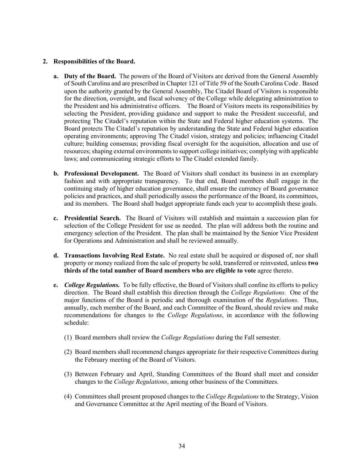#### **2. Responsibilities of the Board.**

- **a. Duty of the Board.** The powers of the Board of Visitors are derived from the General Assembly of South Carolina and are prescribed in Chapter 121 of Title 59 of the South Carolina Code *.* Based upon the authority granted by the General Assembly, The Citadel Board of Visitors is responsible for the direction, oversight, and fiscal solvency of the College while delegating administration to the President and his administrative officers. The Board of Visitors meets its responsibilities by selecting the President, providing guidance and support to make the President successful, and protecting The Citadel's reputation within the State and Federal higher education systems. The Board protects The Citadel's reputation by understanding the State and Federal higher education operating environments; approving The Citadel vision, strategy and policies; influencing Citadel culture; building consensus; providing fiscal oversight for the acquisition, allocation and use of resources; shaping external environments to support college initiatives; complying with applicable laws; and communicating strategic efforts to The Citadel extended family.
- **b. Professional Development.** The Board of Visitors shall conduct its business in an exemplary fashion and with appropriate transparency. To that end, Board members shall engage in the continuing study of higher education governance, shall ensure the currency of Board governance policies and practices, and shall periodically assess the performance of the Board, its committees, and its members. The Board shall budget appropriate funds each year to accomplish these goals.
- **c. Presidential Search.** The Board of Visitors will establish and maintain a succession plan for selection of the College President for use as needed. The plan will address both the routine and emergency selection of the President. The plan shall be maintained by the Senior Vice President for Operations and Administration and shall be reviewed annually.
- **d. Transactions Involving Real Estate.** No real estate shall be acquired or disposed of, nor shall property or money realized from the sale of property be sold, transferred or reinvested, unless **two thirds of the total number of Board members who are eligible to vote** agree thereto.
- **e.** *College Regulations.*To be fully effective, the Board of Visitors shall confine its efforts to policy direction. The Board shall establish this direction through the *College Regulations.* One of the major functions of the Board is periodic and thorough examination of the *Regulations*. Thus, annually, each member of the Board, and each Committee of the Board, should review and make recommendations for changes to the *College Regulations*, in accordance with the following schedule:
	- (1) Board members shall review the *College Regulations* during the Fall semester.
	- (2) Board members shall recommend changes appropriate for their respective Committees during the February meeting of the Board of Visitors.
	- (3) Between February and April, Standing Committees of the Board shall meet and consider changes to the *College Regulations*, among other business of the Committees.
	- (4) Committees shall present proposed changes to the *College Regulations* to the Strategy, Vision and Governance Committee at the April meeting of the Board of Visitors.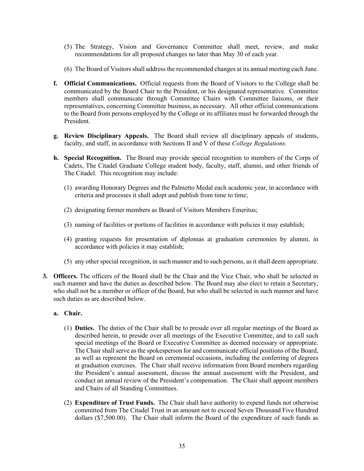- (5) The Strategy, Vision and Governance Committee shall meet, review, and make recommendations for all proposed changes no later than May 30 of each year.
- (6) The Board of Visitors shall address the recommended changes at its annual meeting each June.
- **f. Official Communications.** Official requests from the Board of Visitors to the College shall be communicated by the Board Chair to the President, or his designated representative. Committee members shall communicate through Committee Chairs with Committee liaisons, or their representatives, concerning Committee business, as necessary.All other official communications to the Board from persons employed by the College or its affiliates must be forwarded through the President.
- **g. Review Disciplinary Appeals.** The Board shall review all disciplinary appeals of students, faculty, and staff, in accordance with Sections II and V of these *College Regulations.*
- **h. Special Recognition.** The Board may provide special recognition to members of the Corps of Cadets, The Citadel Graduate College student body, faculty, staff, alumni, and other friends of The Citadel. This recognition may include:
	- (1) awarding Honorary Degrees and the Palmetto Medal each academic year, in accordance with criteria and processes it shall adopt and publish from time to time;
	- (2) designating former members as Board of Visitors Members Emeritus;
	- (3) naming of facilities or portions of facilities in accordance with policies it may establish;
	- (4) granting requests for presentation of diplomas at graduation ceremonies by alumni, in accordance with policies it may establish;
	- (5) any other special recognition, in such manner and to such persons, as it shall deem appropriate.
- **3. Officers.** The officers of the Board shall be the Chair and the Vice Chair, who shall be selected in such manner and have the duties as described below. The Board may also elect to retain a Secretary, who shall not be a member or officer of the Board, but who shall be selected in such manner and have such duties as are described below.

#### **a. Chair.**

- (1) **Duties.** The duties of the Chair shall be to preside over all regular meetings of the Board as described herein, to preside over all meetings of the Executive Committee, and to call such special meetings of the Board or Executive Committee as deemed necessary or appropriate. The Chair shall serve as the spokesperson for and communicate official positions of the Board, as well as represent the Board on ceremonial occasions, including the conferring of degrees at graduation exercises. The Chair shall receive information from Board members regarding the President's annual assessment, discuss the annual assessment with the President, and conduct an annual review of the President's compensation. The Chair shall appoint members and Chairs of all Standing Committees.
- (2) **Expenditure of Trust Funds.** The Chair shall have authority to expend funds not otherwise committed from The Citadel Trust in an amount not to exceed Seven Thousand Five Hundred dollars (\$7,500.00). The Chair shall inform the Board of the expenditure of such funds as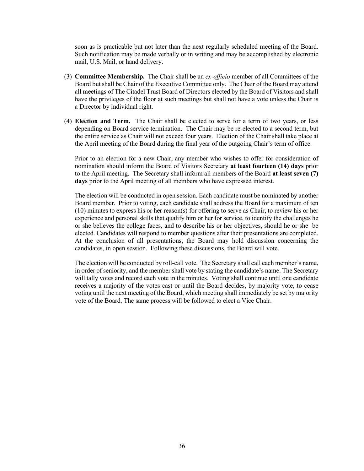soon as is practicable but not later than the next regularly scheduled meeting of the Board. Such notification may be made verbally or in writing and may be accomplished by electronic mail, U.S. Mail, or hand delivery.

- (3) **Committee Membership.** The Chair shall be an *ex-officio* member of all Committees of the Board but shall be Chair of the Executive Committee only. The Chair of the Board may attend all meetings of The Citadel Trust Board of Directors elected by the Board of Visitors and shall have the privileges of the floor at such meetings but shall not have a vote unless the Chair is a Director by individual right.
- (4) **Election and Term.** The Chair shall be elected to serve for a term of two years, or less depending on Board service termination. The Chair may be re-elected to a second term, but the entire service as Chair will not exceed four years. Election of the Chair shall take place at the April meeting of the Board during the final year of the outgoing Chair's term of office.

Prior to an election for a new Chair, any member who wishes to offer for consideration of nomination should inform the Board of Visitors Secretary **at least fourteen (14) days** prior to the April meeting. The Secretary shall inform all members of the Board **at least seven (7) days** prior to the April meeting of all members who have expressed interest.

The election will be conducted in open session. Each candidate must be nominated by another Board member. Prior to voting, each candidate shall address the Board for a maximum of ten (10) minutes to express his or her reason(s) for offering to serve as Chair, to review his or her experience and personal skills that qualify him or her for service, to identify the challenges he or she believes the college faces, and to describe his or her objectives, should he or she be elected. Candidates will respond to member questions after their presentations are completed. At the conclusion of all presentations, the Board may hold discussion concerning the candidates, in open session. Following these discussions, the Board will vote.

The election will be conducted by roll-call vote. The Secretary shall call each member's name, in order of seniority, and the member shall vote by stating the candidate's name. The Secretary will tally votes and record each vote in the minutes. Voting shall continue until one candidate receives a majority of the votes cast or until the Board decides, by majority vote, to cease voting until the next meeting of the Board, which meeting shall immediately be set by majority vote of the Board. The same process will be followed to elect a Vice Chair.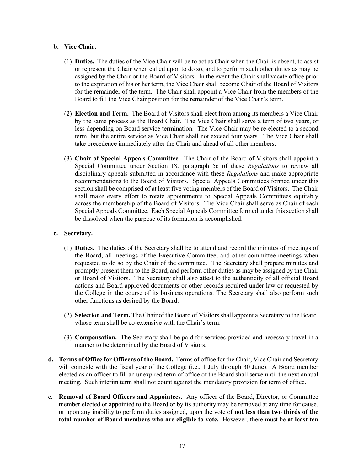#### **b. Vice Chair.**

- (1) **Duties.** The duties of the Vice Chair will be to act as Chair when the Chair is absent, to assist or represent the Chair when called upon to do so, and to perform such other duties as may be assigned by the Chair or the Board of Visitors. In the event the Chair shall vacate office prior to the expiration of his or her term, the Vice Chair shall become Chair of the Board of Visitors for the remainder of the term. The Chair shall appoint a Vice Chair from the members of the Board to fill the Vice Chair position for the remainder of the Vice Chair's term.
- (2) **Election and Term.** The Board of Visitors shall elect from among its members a Vice Chair by the same process as the Board Chair. The Vice Chair shall serve a term of two years, or less depending on Board service termination. The Vice Chair may be re-elected to a second term, but the entire service as Vice Chair shall not exceed four years. The Vice Chair shall take precedence immediately after the Chair and ahead of all other members.
- (3) **Chair of Special Appeals Committee.** The Chair of the Board of Visitors shall appoint a Special Committee under Section IX, paragraph 5c of these *Regulations* to review all disciplinary appeals submitted in accordance with these *Regulations* and make appropriate recommendations to the Board of Visitors. Special Appeals Committees formed under this section shall be comprised of at least five voting members of the Board of Visitors. The Chair shall make every effort to rotate appointments to Special Appeals Committees equitably across the membership of the Board of Visitors. The Vice Chair shall serve as Chair of each Special Appeals Committee. Each Special Appeals Committee formed under this section shall be dissolved when the purpose of its formation is accomplished.

#### **c. Secretary.**

- (1) **Duties.** The duties of the Secretary shall be to attend and record the minutes of meetings of the Board, all meetings of the Executive Committee, and other committee meetings when requested to do so by the Chair of the committee. The Secretary shall prepare minutes and promptly present them to the Board, and perform other duties as may be assigned by the Chair or Board of Visitors. The Secretary shall also attest to the authenticity of all official Board actions and Board approved documents or other records required under law or requested by the College in the course of its business operations. The Secretary shall also perform such other functions as desired by the Board.
- (2) **Selection and Term.** The Chair of the Board of Visitors shall appoint a Secretary to the Board, whose term shall be co-extensive with the Chair's term.
- (3) **Compensation.** The Secretary shall be paid for services provided and necessary travel in a manner to be determined by the Board of Visitors.
- **d. Terms of Office for Officers of the Board.** Terms of office for the Chair, Vice Chair and Secretary will coincide with the fiscal year of the College (i.e., 1 July through 30 June). A Board member elected as an officer to fill an unexpired term of office of the Board shall serve until the next annual meeting. Such interim term shall not count against the mandatory provision for term of office.
- **e. Removal of Board Officers and Appointees.** Any officer of the Board, Director, or Committee member elected or appointed to the Board or by its authority may be removed at any time for cause, or upon any inability to perform duties assigned, upon the vote of **not less than two thirds of the total number of Board members who are eligible to vote.** However, there must be **at least ten**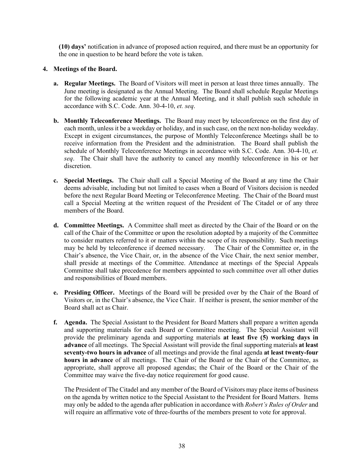**(10) days'** notification in advance of proposed action required, and there must be an opportunity for the one in question to be heard before the vote is taken.

# **4. Meetings of the Board.**

- **a. Regular Meetings.** The Board of Visitors will meet in person at least three times annually. The June meeting is designated as the Annual Meeting. The Board shall schedule Regular Meetings for the following academic year at the Annual Meeting, and it shall publish such schedule in accordance with S.C. Code. Ann. 30-4-10, *et. seq*.
- **b. Monthly Teleconference Meetings.** The Board may meet by teleconference on the first day of each month, unless it be a weekday or holiday, and in such case, on the next non-holiday weekday. Except in exigent circumstances, the purpose of Monthly Teleconference Meetings shall be to receive information from the President and the administration. The Board shall publish the schedule of Monthly Teleconference Meetings in accordance with S.C. Code. Ann. 30-4-10, *et. seq*. The Chair shall have the authority to cancel any monthly teleconference in his or her discretion.
- **c. Special Meetings.** The Chair shall call a Special Meeting of the Board at any time the Chair deems advisable, including but not limited to cases when a Board of Visitors decision is needed before the next Regular Board Meeting or Teleconference Meeting. The Chair of the Board must call a Special Meeting at the written request of the President of The Citadel or of any three members of the Board.
- **d. Committee Meetings.** A Committee shall meet as directed by the Chair of the Board or on the call of the Chair of the Committee or upon the resolution adopted by a majority of the Committee to consider matters referred to it or matters within the scope of its responsibility. Such meetings may be held by teleconference if deemed necessary. The Chair of the Committee or, in the Chair's absence, the Vice Chair, or, in the absence of the Vice Chair, the next senior member, shall preside at meetings of the Committee. Attendance at meetings of the Special Appeals Committee shall take precedence for members appointed to such committee over all other duties and responsibilities of Board members.
- **e. Presiding Officer.** Meetings of the Board will be presided over by the Chair of the Board of Visitors or, in the Chair's absence, the Vice Chair. If neither is present, the senior member of the Board shall act as Chair.
- **f. Agenda.** The Special Assistant to the President for Board Matters shall prepare a written agenda and supporting materials for each Board or Committee meeting. The Special Assistant will provide the preliminary agenda and supporting materials **at least five (5) working days in advance** of all meetings. The Special Assistant will provide the final supporting materials **at least seventy-two hours in advance** of all meetings and provide the final agenda **at least twenty-four hours in advance** of all meetings. The Chair of the Board or the Chair of the Committee, as appropriate, shall approve all proposed agendas; the Chair of the Board or the Chair of the Committee may waive the five-day notice requirement for good cause.

The President of The Citadel and any member of the Board of Visitors may place items of business on the agenda by written notice to the Special Assistant to the President for Board Matters. Items may only be added to the agenda after publication in accordance with *Robert's Rules of Order* and will require an affirmative vote of three-fourths of the members present to vote for approval.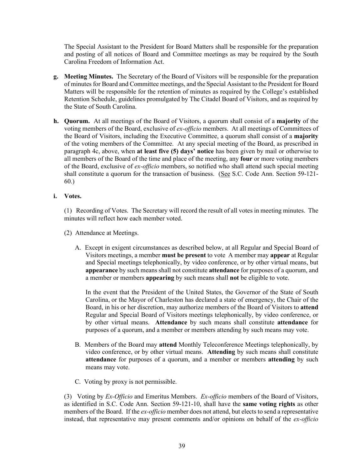The Special Assistant to the President for Board Matters shall be responsible for the preparation and posting of all notices of Board and Committee meetings as may be required by the South Carolina Freedom of Information Act.

- **g. Meeting Minutes.** The Secretary of the Board of Visitors will be responsible for the preparation of minutes for Board and Committee meetings, and the Special Assistant to the President for Board Matters will be responsible for the retention of minutes as required by the College's established Retention Schedule, guidelines promulgated by The Citadel Board of Visitors, and as required by the State of South Carolina.
- **h. Quorum.** At all meetings of the Board of Visitors, a quorum shall consist of a **majority** of the voting members of the Board, exclusive of *ex-officio* members. At all meetings of Committees of the Board of Visitors, including the Executive Committee, a quorum shall consist of a **majority** of the voting members of the Committee. At any special meeting of the Board, as prescribed in paragraph 4c, above, when **at least five (5) days' notice** has been given by mail or otherwise to all members of the Board of the time and place of the meeting, any **four** or more voting members of the Board, exclusive of *ex-officio* members, so notified who shall attend such special meeting shall constitute a quorum for the transaction of business. (See S.C. Code Ann. Section 59-121- 60.)

# **i. Votes.**

(1) Recording of Votes. The Secretary will record the result of all votes in meeting minutes. The minutes will reflect how each member voted.

- (2) Attendance at Meetings.
	- A. Except in exigent circumstances as described below, at all Regular and Special Board of Visitors meetings, a member **must be present** to vote A member may **appear** at Regular and Special meetings telephonically, by video conference, or by other virtual means, but **appearance** by such means shall not constitute **attendance** for purposes of a quorum, and a member or members **appearing** by such means shall **not** be eligible to vote.

In the event that the President of the United States, the Governor of the State of South Carolina, or the Mayor of Charleston has declared a state of emergency, the Chair of the Board, in his or her discretion, may authorize members of the Board of Visitors to **attend** Regular and Special Board of Visitors meetings telephonically, by video conference, or by other virtual means. **Attendance** by such means shall constitute **attendance** for purposes of a quorum, and a member or members attending by such means may vote.

- B. Members of the Board may **attend** Monthly Teleconference Meetings telephonically, by video conference, or by other virtual means. **Attending** by such means shall constitute **attendance** for purposes of a quorum, and a member or members **attending** by such means may vote.
- C. Voting by proxy is not permissible.

(3) Voting by *Ex-Officio* and Emeritus Members. *Ex-officio* members of the Board of Visitors, as identified in S.C. Code Ann. Section 59-121-10, shall have the **same voting rights** as other members of the Board. If the *ex-officio* member does not attend, but elects to send a representative instead, that representative may present comments and/or opinions on behalf of the *ex-officio*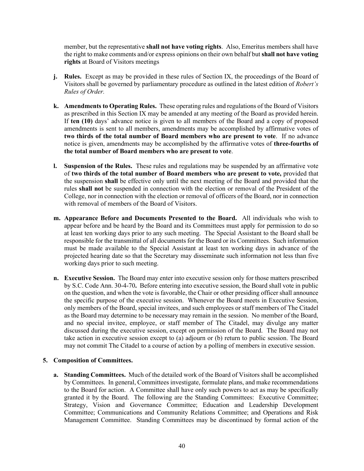member, but the representative **shall not have voting rights**. Also, Emeritus members shall have the right to make comments and/or express opinions on their own behalf but **shall not have voting rights** at Board of Visitors meetings

- **j. Rules.** Except as may be provided in these rules of Section IX, the proceedings of the Board of Visitors shall be governed by parliamentary procedure as outlined in the latest edition of *Robert's Rules of Order.*
- **k. Amendments to Operating Rules.** These operating rules and regulations of the Board of Visitors as prescribed in this Section IX may be amended at any meeting of the Board as provided herein. If **ten (10)** days' advance notice is given to all members of the Board and a copy of proposed amendments is sent to all members, amendments may be accomplished by affirmative votes of **two thirds of the total number of Board members who are present to vote**. If no advance notice is given, amendments may be accomplished by the affirmative votes of **three-fourths of the total number of Board members who are present to vote**.
- **l. Suspension of the Rules.** These rules and regulations may be suspended by an affirmative vote of **two thirds of the total number of Board members who are present to vote,** provided that the suspension **shall** be effective only until the next meeting of the Board and provided that the rules **shall not** be suspended in connection with the election or removal of the President of the College, nor in connection with the election or removal of officers of the Board, nor in connection with removal of members of the Board of Visitors.
- **m. Appearance Before and Documents Presented to the Board.** All individuals who wish to appear before and be heard by the Board and its Committees must apply for permission to do so at least ten working days prior to any such meeting. The Special Assistant to the Board shall be responsible for the transmittal of all documents for the Board or its Committees. Such information must be made available to the Special Assistant at least ten working days in advance of the projected hearing date so that the Secretary may disseminate such information not less than five working days prior to such meeting.
- **n. Executive Session.** The Board may enter into executive session only for those matters prescribed by S.C. Code Ann. 30-4-70**.** Before entering into executive session, the Board shall vote in public on the question, and when the vote is favorable, the Chair or other presiding officer shall announce the specific purpose of the executive session. Whenever the Board meets in Executive Session, only members of the Board, special invitees, and such employees or staff members of The Citadel as the Board may determine to be necessary may remain in the session. No member of the Board, and no special invitee, employee, or staff member of The Citadel, may divulge any matter discussed during the executive session, except on permission of the Board. The Board may not take action in executive session except to (a) adjourn or (b) return to public session. The Board may not commit The Citadel to a course of action by a polling of members in executive session.

# **5. Composition of Committees.**

**a. Standing Committees.** Much of the detailed work of the Board of Visitors shall be accomplished by Committees. In general, Committees investigate, formulate plans, and make recommendations to the Board for action. A Committee shall have only such powers to act as may be specifically granted it by the Board. The following are the Standing Committees: Executive Committee; Strategy, Vision and Governance Committee; Education and Leadership Development Committee; Communications and Community Relations Committee; and Operations and Risk Management Committee. Standing Committees may be discontinued by formal action of the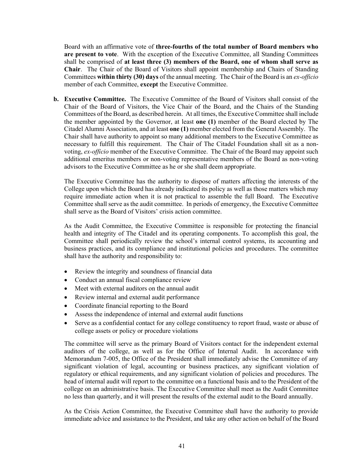Board with an affirmative vote of **three-fourths of the total number of Board members who are present to vote**. With the exception of the Executive Committee, all Standing Committees shall be comprised of **at least three (3) members of the Board, one of whom shall serve as Chair**. The Chair of the Board of Visitors shall appoint membership and Chairs of Standing Committees **within thirty (30) days** of the annual meeting. The Chair of the Board is an *ex-officio* member of each Committee, **except** the Executive Committee.

**b. Executive Committee.** The Executive Committee of the Board of Visitors shall consist of the Chair of the Board of Visitors, the Vice Chair of the Board, and the Chairs of the Standing Committees of the Board, as described herein. At all times, the Executive Committee shall include the member appointed by the Governor, at least **one (1)** member of the Board elected by The Citadel Alumni Association, and at least **one (1)** member elected from the General Assembly. The Chair shall have authority to appoint so many additional members to the Executive Committee as necessary to fulfill this requirement. The Chair of The Citadel Foundation shall sit as a nonvoting, *ex-officio* member of the Executive Committee. The Chair of the Board may appoint such additional emeritus members or non-voting representative members of the Board as non-voting advisors to the Executive Committee as he or she shall deem appropriate.

The Executive Committee has the authority to dispose of matters affecting the interests of the College upon which the Board has already indicated its policy as well as those matters which may require immediate action when it is not practical to assemble the full Board. The Executive Committee shall serve as the audit committee. In periods of emergency, the Executive Committee shall serve as the Board of Visitors' crisis action committee.

As the Audit Committee, the Executive Committee is responsible for protecting the financial health and integrity of The Citadel and its operating components. To accomplish this goal, the Committee shall periodically review the school's internal control systems, its accounting and business practices, and its compliance and institutional policies and procedures. The committee shall have the authority and responsibility to:

- Review the integrity and soundness of financial data
- Conduct an annual fiscal compliance review
- Meet with external auditors on the annual audit
- Review internal and external audit performance
- Coordinate financial reporting to the Board
- Assess the independence of internal and external audit functions
- Serve as a confidential contact for any college constituency to report fraud, waste or abuse of college assets or policy or procedure violations

The committee will serve as the primary Board of Visitors contact for the independent external auditors of the college, as well as for the Office of Internal Audit. In accordance with Memorandum 7-005, the Office of the President shall immediately advise the Committee of any significant violation of legal, accounting or business practices, any significant violation of regulatory or ethical requirements, and any significant violation of policies and procedures. The head of internal audit will report to the committee on a functional basis and to the President of the college on an administrative basis. The Executive Committee shall meet as the Audit Committee no less than quarterly, and it will present the results of the external audit to the Board annually.

As the Crisis Action Committee, the Executive Committee shall have the authority to provide immediate advice and assistance to the President, and take any other action on behalf of the Board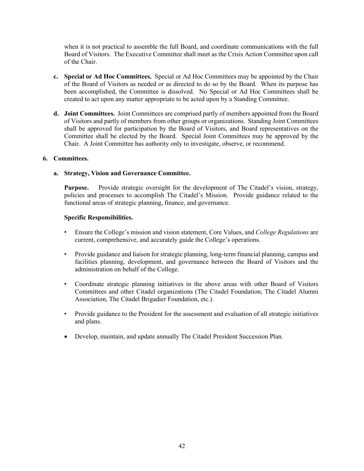when it is not practical to assemble the full Board, and coordinate communications with the full Board of Visitors. The Executive Committee shall meet as the Crisis Action Committee upon call of the Chair.

- **c. Special or Ad Hoc Committees.** Special or Ad Hoc Committees may be appointed by the Chair of the Board of Visitors as needed or as directed to do so by the Board. When its purpose has been accomplished, the Committee is dissolved. No Special or Ad Hoc Committees shall be created to act upon any matter appropriate to be acted upon by a Standing Committee.
- **d. Joint Committees.** Joint Committees are comprised partly of members appointed from the Board of Visitors and partly of members from other groups or organizations. Standing Joint Committees shall be approved for participation by the Board of Visitors, and Board representatives on the Committee shall be elected by the Board. Special Joint Committees may be approved by the Chair. A Joint Committee has authority only to investigate, observe, or recommend.

# **6. Committees.**

# **a. Strategy, Vision and Governance Committee.**

**Purpose.** Provide strategic oversight for the development of The Citadel's vision, strategy, policies and processes to accomplish The Citadel's Mission. Provide guidance related to the functional areas of strategic planning, finance, and governance.

#### **Specific Responsibilities.**

- Ensure the College's mission and vision statement, Core Values, and *College Regulations* are current, comprehensive, and accurately guide the College's operations.
- Provide guidance and liaison for strategic planning, long-term financial planning, campus and facilities planning, development, and governance between the Board of Visitors and the administration on behalf of the College.
- Coordinate strategic planning initiatives in the above areas with other Board of Visitors Committees and other Citadel organizations (The Citadel Foundation, The Citadel Alumni Association, The Citadel Brigadier Foundation, etc.).
- Provide guidance to the President for the assessment and evaluation of all strategic initiatives and plans.
- Develop, maintain, and update annually The Citadel President Succession Plan.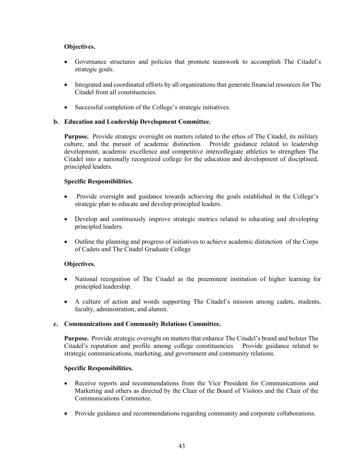# **Objectives.**

- Governance structures and policies that promote teamwork to accomplish The Citadel's strategic goals.
- Integrated and coordinated efforts by all organizations that generate financial resources for The Citadel from all constituencies.
- Successful completion of the College's strategic initiatives.

# **b. Education and Leadership Development Committee.**

**Purpose.** Provide strategic oversight on matters related to the ethos of The Citadel, its military culture, and the pursuit of academic distinction. Provide guidance related to leadership development, academic excellence and competitive intercollegiate athletics to strengthen The Citadel into a nationally recognized college for the education and development of disciplined, principled leaders.

# **Specific Responsibilities.**

- Provide oversight and guidance towards achieving the goals established in the College's strategic plan to educate and develop principled leaders.
- Develop and continuously improve strategic metrics related to educating and developing principled leaders.
- Outline the planning and progress of initiatives to achieve academic distinction of the Corps of Cadets and The Citadel Graduate College

# **Objectives.**

- National recognition of The Citadel as the preeminent institution of higher learning for principled leadership.
- A culture of action and words supporting The Citadel's mission among cadets, students, faculty, administration, and alumni.

# **c. Communications and Community Relations Committee.**

**Purpose.** Provide strategic oversight on matters that enhance The Citadel's brand and bolster The Citadel's reputation and profile among college constituencies Provide guidance related to strategic communications, marketing, and government and community relations.

# **Specific Responsibilities.**

- Receive reports and recommendations from the Vice President for Communications and Marketing and others as directed by the Chair of the Board of Visitors and the Chair of the Communications Committee.
- Provide guidance and recommendations regarding community and corporate collaborations.